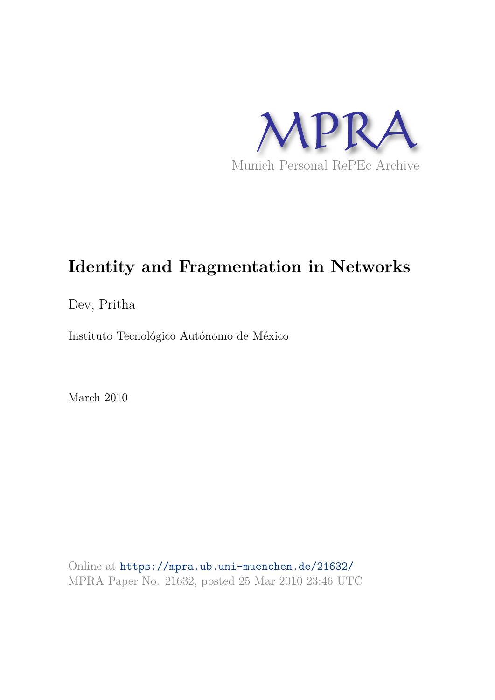

# **Identity and Fragmentation in Networks**

Dev, Pritha

Instituto Tecnológico Autónomo de México

March 2010

Online at https://mpra.ub.uni-muenchen.de/21632/ MPRA Paper No. 21632, posted 25 Mar 2010 23:46 UTC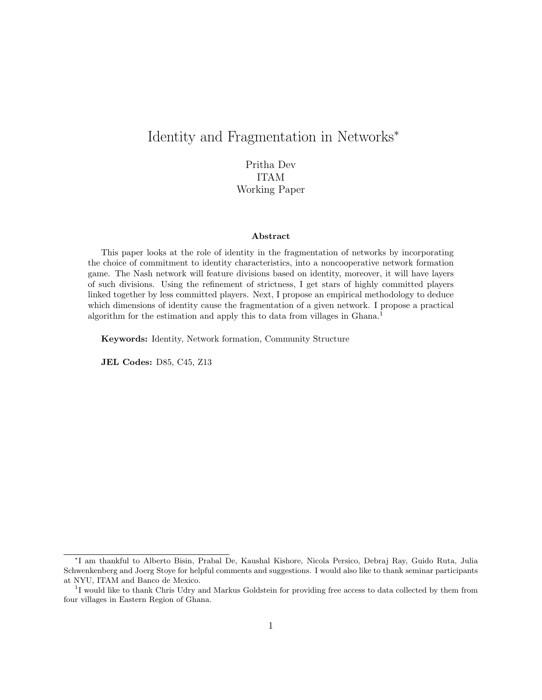## Identity and Fragmentation in Networks<sup>∗</sup>

Pritha Dev ITAM Working Paper

#### Abstract

This paper looks at the role of identity in the fragmentation of networks by incorporating the choice of commitment to identity characteristics, into a noncooperative network formation game. The Nash network will feature divisions based on identity, moreover, it will have layers of such divisions. Using the refinement of strictness, I get stars of highly committed players linked together by less committed players. Next, I propose an empirical methodology to deduce which dimensions of identity cause the fragmentation of a given network. I propose a practical algorithm for the estimation and apply this to data from villages in Ghana.<sup>1</sup>

Keywords: Identity, Network formation, Community Structure

JEL Codes: D85, C45, Z13

<sup>∗</sup> I am thankful to Alberto Bisin, Prabal De, Kaushal Kishore, Nicola Persico, Debraj Ray, Guido Ruta, Julia Schwenkenberg and Joerg Stoye for helpful comments and suggestions. I would also like to thank seminar participants at NYU, ITAM and Banco de Mexico.

<sup>&</sup>lt;sup>1</sup>I would like to thank Chris Udry and Markus Goldstein for providing free access to data collected by them from four villages in Eastern Region of Ghana.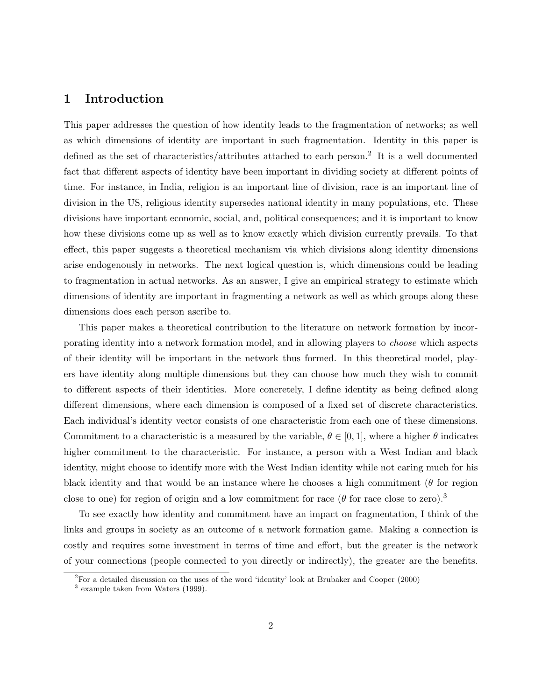### 1 Introduction

This paper addresses the question of how identity leads to the fragmentation of networks; as well as which dimensions of identity are important in such fragmentation. Identity in this paper is defined as the set of characteristics/attributes attached to each person.<sup>2</sup> It is a well documented fact that different aspects of identity have been important in dividing society at different points of time. For instance, in India, religion is an important line of division, race is an important line of division in the US, religious identity supersedes national identity in many populations, etc. These divisions have important economic, social, and, political consequences; and it is important to know how these divisions come up as well as to know exactly which division currently prevails. To that effect, this paper suggests a theoretical mechanism via which divisions along identity dimensions arise endogenously in networks. The next logical question is, which dimensions could be leading to fragmentation in actual networks. As an answer, I give an empirical strategy to estimate which dimensions of identity are important in fragmenting a network as well as which groups along these dimensions does each person ascribe to.

This paper makes a theoretical contribution to the literature on network formation by incorporating identity into a network formation model, and in allowing players to choose which aspects of their identity will be important in the network thus formed. In this theoretical model, players have identity along multiple dimensions but they can choose how much they wish to commit to different aspects of their identities. More concretely, I define identity as being defined along different dimensions, where each dimension is composed of a fixed set of discrete characteristics. Each individual's identity vector consists of one characteristic from each one of these dimensions. Commitment to a characteristic is a measured by the variable,  $\theta \in [0,1]$ , where a higher  $\theta$  indicates higher commitment to the characteristic. For instance, a person with a West Indian and black identity, might choose to identify more with the West Indian identity while not caring much for his black identity and that would be an instance where he chooses a high commitment ( $\theta$  for region close to one) for region of origin and a low commitment for race ( $\theta$  for race close to zero).<sup>3</sup>

To see exactly how identity and commitment have an impact on fragmentation, I think of the links and groups in society as an outcome of a network formation game. Making a connection is costly and requires some investment in terms of time and effort, but the greater is the network of your connections (people connected to you directly or indirectly), the greater are the benefits.

<sup>2</sup>For a detailed discussion on the uses of the word 'identity' look at Brubaker and Cooper (2000)

<sup>3</sup> example taken from Waters (1999).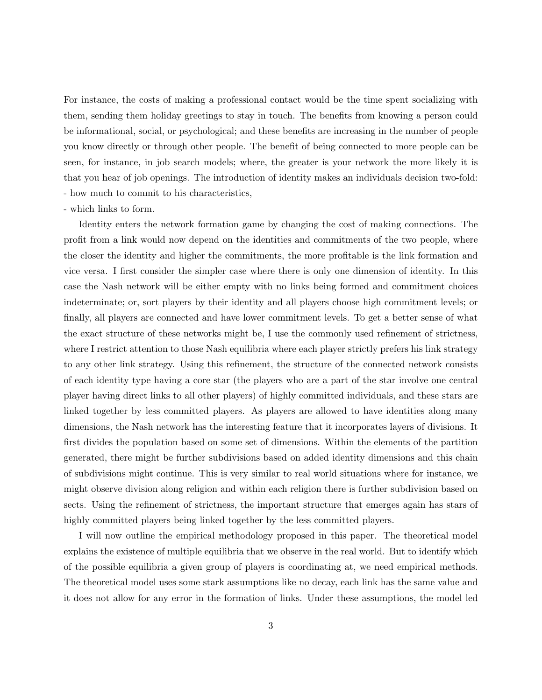For instance, the costs of making a professional contact would be the time spent socializing with them, sending them holiday greetings to stay in touch. The benefits from knowing a person could be informational, social, or psychological; and these benefits are increasing in the number of people you know directly or through other people. The benefit of being connected to more people can be seen, for instance, in job search models; where, the greater is your network the more likely it is that you hear of job openings. The introduction of identity makes an individuals decision two-fold: - how much to commit to his characteristics,

#### - which links to form.

Identity enters the network formation game by changing the cost of making connections. The profit from a link would now depend on the identities and commitments of the two people, where the closer the identity and higher the commitments, the more profitable is the link formation and vice versa. I first consider the simpler case where there is only one dimension of identity. In this case the Nash network will be either empty with no links being formed and commitment choices indeterminate; or, sort players by their identity and all players choose high commitment levels; or finally, all players are connected and have lower commitment levels. To get a better sense of what the exact structure of these networks might be, I use the commonly used refinement of strictness, where I restrict attention to those Nash equilibria where each player strictly prefers his link strategy to any other link strategy. Using this refinement, the structure of the connected network consists of each identity type having a core star (the players who are a part of the star involve one central player having direct links to all other players) of highly committed individuals, and these stars are linked together by less committed players. As players are allowed to have identities along many dimensions, the Nash network has the interesting feature that it incorporates layers of divisions. It first divides the population based on some set of dimensions. Within the elements of the partition generated, there might be further subdivisions based on added identity dimensions and this chain of subdivisions might continue. This is very similar to real world situations where for instance, we might observe division along religion and within each religion there is further subdivision based on sects. Using the refinement of strictness, the important structure that emerges again has stars of highly committed players being linked together by the less committed players.

I will now outline the empirical methodology proposed in this paper. The theoretical model explains the existence of multiple equilibria that we observe in the real world. But to identify which of the possible equilibria a given group of players is coordinating at, we need empirical methods. The theoretical model uses some stark assumptions like no decay, each link has the same value and it does not allow for any error in the formation of links. Under these assumptions, the model led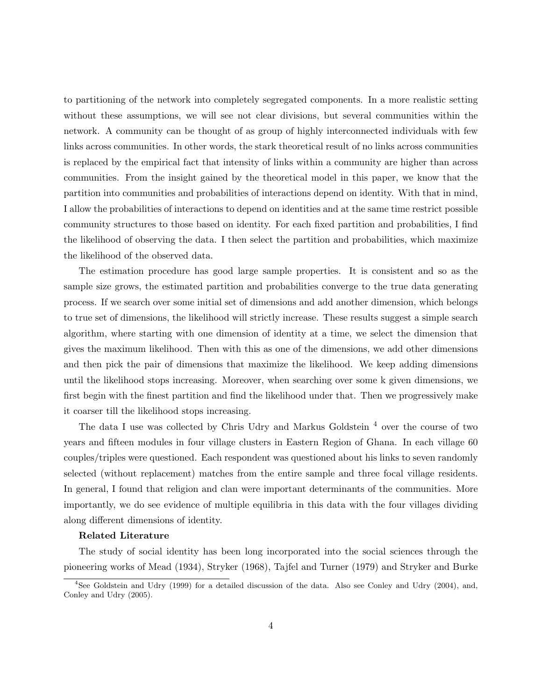to partitioning of the network into completely segregated components. In a more realistic setting without these assumptions, we will see not clear divisions, but several communities within the network. A community can be thought of as group of highly interconnected individuals with few links across communities. In other words, the stark theoretical result of no links across communities is replaced by the empirical fact that intensity of links within a community are higher than across communities. From the insight gained by the theoretical model in this paper, we know that the partition into communities and probabilities of interactions depend on identity. With that in mind, I allow the probabilities of interactions to depend on identities and at the same time restrict possible community structures to those based on identity. For each fixed partition and probabilities, I find the likelihood of observing the data. I then select the partition and probabilities, which maximize the likelihood of the observed data.

The estimation procedure has good large sample properties. It is consistent and so as the sample size grows, the estimated partition and probabilities converge to the true data generating process. If we search over some initial set of dimensions and add another dimension, which belongs to true set of dimensions, the likelihood will strictly increase. These results suggest a simple search algorithm, where starting with one dimension of identity at a time, we select the dimension that gives the maximum likelihood. Then with this as one of the dimensions, we add other dimensions and then pick the pair of dimensions that maximize the likelihood. We keep adding dimensions until the likelihood stops increasing. Moreover, when searching over some k given dimensions, we first begin with the finest partition and find the likelihood under that. Then we progressively make it coarser till the likelihood stops increasing.

The data I use was collected by Chris Udry and Markus Goldstein<sup>4</sup> over the course of two years and fifteen modules in four village clusters in Eastern Region of Ghana. In each village 60 couples/triples were questioned. Each respondent was questioned about his links to seven randomly selected (without replacement) matches from the entire sample and three focal village residents. In general, I found that religion and clan were important determinants of the communities. More importantly, we do see evidence of multiple equilibria in this data with the four villages dividing along different dimensions of identity.

#### Related Literature

The study of social identity has been long incorporated into the social sciences through the pioneering works of Mead (1934), Stryker (1968), Tajfel and Turner (1979) and Stryker and Burke

<sup>4</sup>See Goldstein and Udry (1999) for a detailed discussion of the data. Also see Conley and Udry (2004), and, Conley and Udry (2005).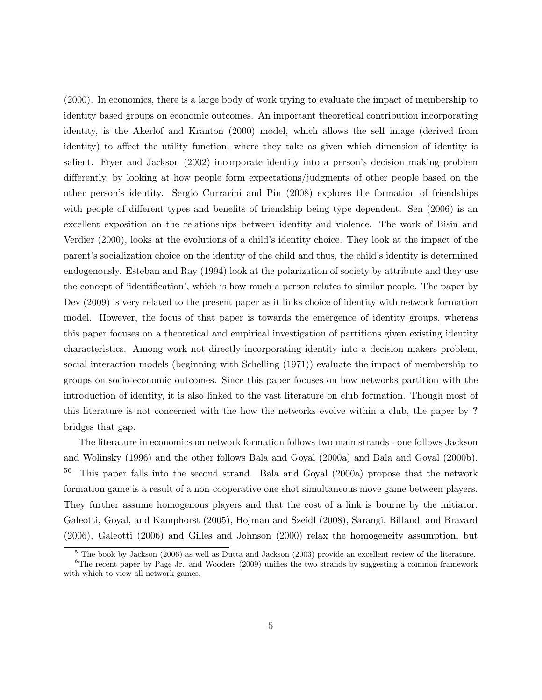(2000). In economics, there is a large body of work trying to evaluate the impact of membership to identity based groups on economic outcomes. An important theoretical contribution incorporating identity, is the Akerlof and Kranton (2000) model, which allows the self image (derived from identity) to affect the utility function, where they take as given which dimension of identity is salient. Fryer and Jackson (2002) incorporate identity into a person's decision making problem differently, by looking at how people form expectations/judgments of other people based on the other person's identity. Sergio Currarini and Pin (2008) explores the formation of friendships with people of different types and benefits of friendship being type dependent. Sen  $(2006)$  is an excellent exposition on the relationships between identity and violence. The work of Bisin and Verdier (2000), looks at the evolutions of a child's identity choice. They look at the impact of the parent's socialization choice on the identity of the child and thus, the child's identity is determined endogenously. Esteban and Ray (1994) look at the polarization of society by attribute and they use the concept of 'identification', which is how much a person relates to similar people. The paper by Dev (2009) is very related to the present paper as it links choice of identity with network formation model. However, the focus of that paper is towards the emergence of identity groups, whereas this paper focuses on a theoretical and empirical investigation of partitions given existing identity characteristics. Among work not directly incorporating identity into a decision makers problem, social interaction models (beginning with Schelling (1971)) evaluate the impact of membership to groups on socio-economic outcomes. Since this paper focuses on how networks partition with the introduction of identity, it is also linked to the vast literature on club formation. Though most of this literature is not concerned with the how the networks evolve within a club, the paper by ? bridges that gap.

The literature in economics on network formation follows two main strands - one follows Jackson and Wolinsky (1996) and the other follows Bala and Goyal (2000a) and Bala and Goyal (2000b). <sup>56</sup> This paper falls into the second strand. Bala and Goyal (2000a) propose that the network formation game is a result of a non-cooperative one-shot simultaneous move game between players. They further assume homogenous players and that the cost of a link is bourne by the initiator. Galeotti, Goyal, and Kamphorst (2005), Hojman and Szeidl (2008), Sarangi, Billand, and Bravard (2006), Galeotti (2006) and Gilles and Johnson (2000) relax the homogeneity assumption, but

<sup>5</sup> The book by Jackson (2006) as well as Dutta and Jackson (2003) provide an excellent review of the literature.

 ${}^{6}$ The recent paper by Page Jr. and Wooders (2009) unifies the two strands by suggesting a common framework with which to view all network games.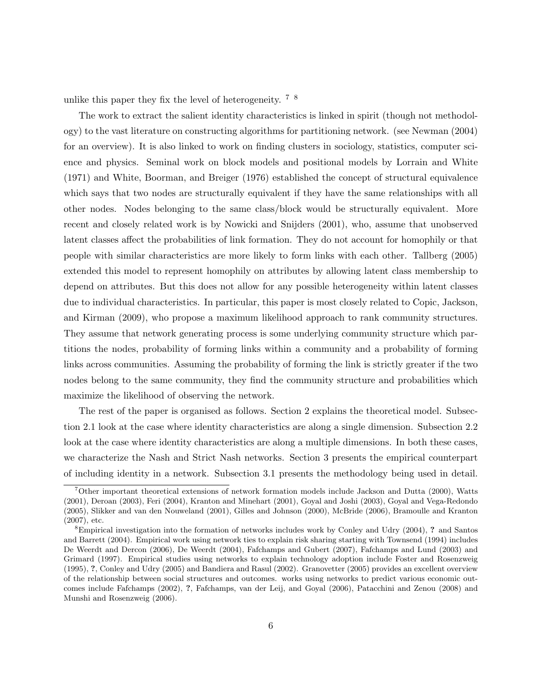unlike this paper they fix the level of heterogeneity.  $7 \times 8$ 

The work to extract the salient identity characteristics is linked in spirit (though not methodology) to the vast literature on constructing algorithms for partitioning network. (see Newman (2004) for an overview). It is also linked to work on finding clusters in sociology, statistics, computer science and physics. Seminal work on block models and positional models by Lorrain and White (1971) and White, Boorman, and Breiger (1976) established the concept of structural equivalence which says that two nodes are structurally equivalent if they have the same relationships with all other nodes. Nodes belonging to the same class/block would be structurally equivalent. More recent and closely related work is by Nowicki and Snijders (2001), who, assume that unobserved latent classes affect the probabilities of link formation. They do not account for homophily or that people with similar characteristics are more likely to form links with each other. Tallberg (2005) extended this model to represent homophily on attributes by allowing latent class membership to depend on attributes. But this does not allow for any possible heterogeneity within latent classes due to individual characteristics. In particular, this paper is most closely related to Copic, Jackson, and Kirman (2009), who propose a maximum likelihood approach to rank community structures. They assume that network generating process is some underlying community structure which partitions the nodes, probability of forming links within a community and a probability of forming links across communities. Assuming the probability of forming the link is strictly greater if the two nodes belong to the same community, they find the community structure and probabilities which maximize the likelihood of observing the network.

The rest of the paper is organised as follows. Section 2 explains the theoretical model. Subsection 2.1 look at the case where identity characteristics are along a single dimension. Subsection 2.2 look at the case where identity characteristics are along a multiple dimensions. In both these cases, we characterize the Nash and Strict Nash networks. Section 3 presents the empirical counterpart of including identity in a network. Subsection 3.1 presents the methodology being used in detail.

<sup>7</sup>Other important theoretical extensions of network formation models include Jackson and Dutta (2000), Watts (2001), Deroan (2003), Feri (2004), Kranton and Minehart (2001), Goyal and Joshi (2003), Goyal and Vega-Redondo (2005), Slikker and van den Nouweland (2001), Gilles and Johnson (2000), McBride (2006), Bramoulle and Kranton (2007), etc.

<sup>&</sup>lt;sup>8</sup>Empirical investigation into the formation of networks includes work by Conley and Udry (2004), ? and Santos and Barrett (2004). Empirical work using network ties to explain risk sharing starting with Townsend (1994) includes De Weerdt and Dercon (2006), De Weerdt (2004), Fafchamps and Gubert (2007), Fafchamps and Lund (2003) and Grimard (1997). Empirical studies using networks to explain technology adoption include Foster and Rosenzweig (1995), ?, Conley and Udry (2005) and Bandiera and Rasul (2002). Granovetter (2005) provides an excellent overview of the relationship between social structures and outcomes. works using networks to predict various economic outcomes include Fafchamps (2002), ?, Fafchamps, van der Leij, and Goyal (2006), Patacchini and Zenou (2008) and Munshi and Rosenzweig (2006).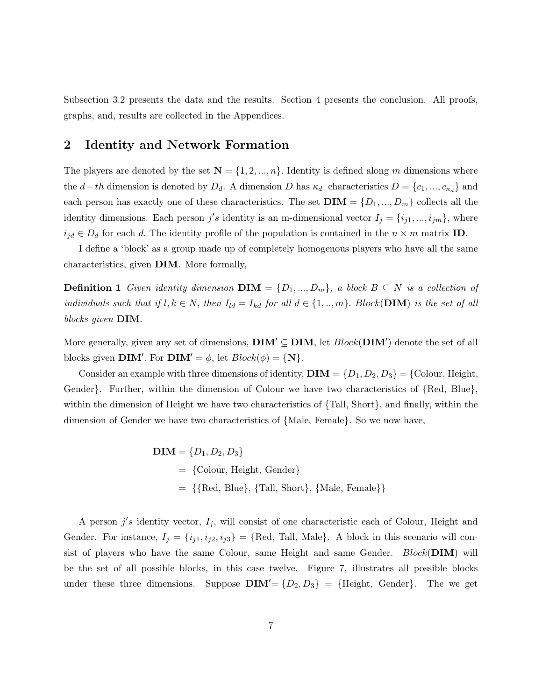Subsection 3.2 presents the data and the results. Section 4 presents the conclusion. All proofs, graphs, and, results are collected in the Appendices.

### 2 Identity and Network Formation

The players are denoted by the set  $\mathbf{N} = \{1, 2, ..., n\}$ . Identity is defined along m dimensions where the d–th dimension is denoted by  $D_d$ . A dimension D has  $\kappa_d$  characteristics  $D = \{c_1, ..., c_{\kappa_d}\}\$  and each person has exactly one of these characteristics. The set  $\textbf{DIM} = \{D_1, ..., D_m\}$  collects all the identity dimensions. Each person  $j's$  identity is an m-dimensional vector  $I_j = \{i_{j1},...,i_{jm}\}\,$  where  $i_{jd} \in D_d$  for each d. The identity profile of the population is contained in the  $n \times m$  matrix **ID**.

I define a 'block' as a group made up of completely homogenous players who have all the same characteristics, given DIM. More formally,

**Definition 1** Given identity dimension  $\textbf{DIM} = \{D_1, ..., D_m\}$ , a block  $B \subseteq N$  is a collection of individuals such that if  $l, k \in N$ , then  $I_{ld} = I_{kd}$  for all  $d \in \{1, ..., m\}$ . Block(**DIM**) is the set of all blocks given DIM.

More generally, given any set of dimensions,  $\textbf{DIM}' \subseteq \textbf{DIM}$ , let  $Block(\textbf{DIM}')$  denote the set of all blocks given **DIM'**. For **DIM'** =  $\phi$ , let  $Block(\phi) = \{N\}$ .

Consider an example with three dimensions of identity,  $\textbf{DIM} = \{D_1, D_2, D_3\} = \{\text{Color, Height,}$ Gender}. Further, within the dimension of Colour we have two characteristics of {Red, Blue}, within the dimension of Height we have two characteristics of {Tall, Short}, and finally, within the dimension of Gender we have two characteristics of {Male, Female}. So we now have,

$$
DIM = \{D_1, D_2, D_3\}
$$
  
= {Colour, Height, Gender}  
= {{Red, Blue}, {Tall, Short}, {Male, Female}}

A person  $j's$  identity vector,  $I_j$ , will consist of one characteristic each of Colour, Height and Gender. For instance,  $I_j = \{i_{j1}, i_{j2}, i_{j3}\} = \{\text{Red}, \text{Tall}, \text{Male}\}\.$  A block in this scenario will consist of players who have the same Colour, same Height and same Gender.  $Block(DIM)$  will be the set of all possible blocks, in this case twelve. Figure 7, illustrates all possible blocks under these three dimensions. Suppose  $\text{DIM}' = \{D_2, D_3\} = \{\text{Height}, \text{ Gender}\}.$  The we get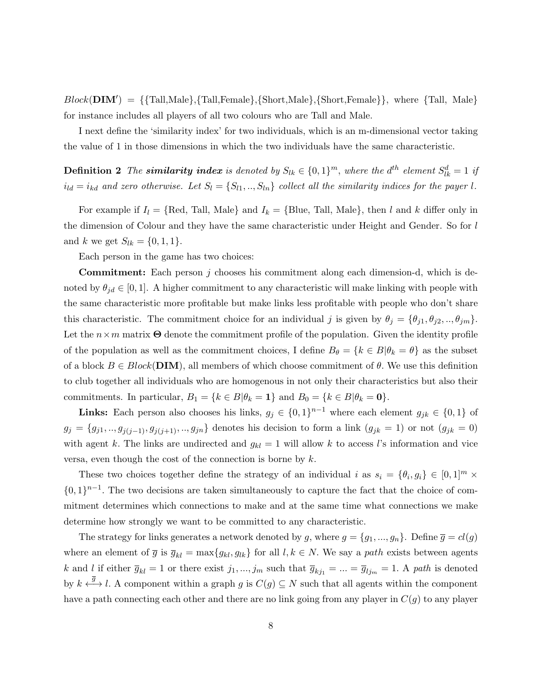$Block(DIM') = \{\{Tall, Male\}, \{Tall, Female\}, \{Short, Male\}, \{Short, Female\}\},\$  where  $\{Tall, Male\}$ for instance includes all players of all two colours who are Tall and Male.

I next define the 'similarity index' for two individuals, which is an m-dimensional vector taking the value of 1 in those dimensions in which the two individuals have the same characteristic.

**Definition 2** The **similarity index** is denoted by  $S_{lk} \in \{0,1\}^m$ , where the  $d^{th}$  element  $S_{lk}^d = 1$  if  $i_{ld} = i_{kd}$  and zero otherwise. Let  $S_l = \{S_{l1}, ..., S_{ln}\}\$ collect all the similarity indices for the payer l.

For example if  $I_l = \{Red, Tall, Male\}$  and  $I_k = \{Blue, Tall, Male\}$ , then l and k differ only in the dimension of Colour and they have the same characteristic under Height and Gender. So for l and k we get  $S_{lk} = \{0, 1, 1\}.$ 

Each person in the game has two choices:

**Commitment:** Each person j chooses his commitment along each dimension-d, which is denoted by  $\theta_{id} \in [0,1]$ . A higher commitment to any characteristic will make linking with people with the same characteristic more profitable but make links less profitable with people who don't share this characteristic. The commitment choice for an individual j is given by  $\theta_j = {\theta_{j1}, \theta_{j2}, ..., \theta_{jm}}$ . Let the  $n \times m$  matrix  $\Theta$  denote the commitment profile of the population. Given the identity profile of the population as well as the commitment choices, I define  $B_{\theta} = \{k \in B | \theta_k = \theta\}$  as the subset of a block  $B \in Block(DIM)$ , all members of which choose commitment of  $\theta$ . We use this definition to club together all individuals who are homogenous in not only their characteristics but also their commitments. In particular,  $B_1 = \{k \in B | \theta_k = 1\}$  and  $B_0 = \{k \in B | \theta_k = 0\}.$ 

**Links:** Each person also chooses his links,  $g_j \in \{0,1\}^{n-1}$  where each element  $g_{jk} \in \{0,1\}$  of  $g_j = \{g_{j1}, ..., g_{j(j-1)}, g_{j(j+1)}, ..., g_{jn}\}\$ denotes his decision to form a link  $(g_{jk} = 1)$  or not  $(g_{jk} = 0)$ with agent k. The links are undirected and  $g_{kl} = 1$  will allow k to access l's information and vice versa, even though the cost of the connection is borne by  $k$ .

These two choices together define the strategy of an individual i as  $s_i = \{\theta_i, g_i\} \in [0,1]^m \times$  $\{0,1\}^{n-1}$ . The two decisions are taken simultaneously to capture the fact that the choice of commitment determines which connections to make and at the same time what connections we make determine how strongly we want to be committed to any characteristic.

The strategy for links generates a network denoted by g, where  $g = \{g_1, ..., g_n\}$ . Define  $\overline{g} = cl(g)$ where an element of  $\overline{g}$  is  $\overline{g}_{kl} = \max\{g_{kl}, g_{lk}\}\$ for all  $l, k \in N$ . We say a path exists between agents k and l if either  $\bar{g}_{kl} = 1$  or there exist  $j_1, ..., j_m$  such that  $\bar{g}_{kj_1} = ... = \bar{g}_{lj_m} = 1$ . A path is denoted by  $k \stackrel{\overline{g}}{\longleftrightarrow} l$ . A component within a graph g is  $C(g) \subseteq N$  such that all agents within the component have a path connecting each other and there are no link going from any player in  $C(q)$  to any player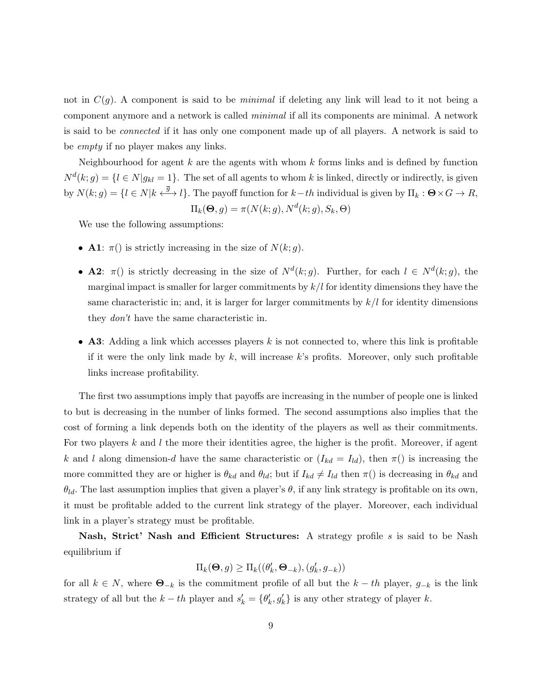not in  $C(q)$ . A component is said to be *minimal* if deleting any link will lead to it not being a component anymore and a network is called minimal if all its components are minimal. A network is said to be connected if it has only one component made up of all players. A network is said to be empty if no player makes any links.

Neighbourhood for agent  $k$  are the agents with whom  $k$  forms links and is defined by function  $N^{d}(k; g) = \{l \in N | g_{kl} = 1\}.$  The set of all agents to whom k is linked, directly or indirectly, is given by  $N(k; g) = \{l \in N | k \stackrel{\overline{g}}{\longleftrightarrow} l\}$ . The payoff function for  $k-th$  individual is given by  $\Pi_k : \Theta \times G \to R$ ,

$$
\Pi_k(\Theta, g) = \pi(N(k; g), N^d(k; g), S_k, \Theta)
$$

We use the following assumptions:

- **A1**:  $\pi()$  is strictly increasing in the size of  $N(k; g)$ .
- **A2**:  $\pi()$  is strictly decreasing in the size of  $N^d(k; g)$ . Further, for each  $l \in N^d(k; g)$ , the marginal impact is smaller for larger commitments by  $k/l$  for identity dimensions they have the same characteristic in; and, it is larger for larger commitments by  $k/l$  for identity dimensions they don't have the same characteristic in.
- A3: Adding a link which accesses players  $k$  is not connected to, where this link is profitable if it were the only link made by  $k$ , will increase  $k$ 's profits. Moreover, only such profitable links increase profitability.

The first two assumptions imply that payoffs are increasing in the number of people one is linked to but is decreasing in the number of links formed. The second assumptions also implies that the cost of forming a link depends both on the identity of the players as well as their commitments. For two players  $k$  and  $l$  the more their identities agree, the higher is the profit. Moreover, if agent k and l along dimension-d have the same characteristic or  $(I_{kd} = I_{ld})$ , then  $\pi()$  is increasing the more committed they are or higher is  $\theta_{kd}$  and  $\theta_{ld}$ ; but if  $I_{kd} \neq I_{ld}$  then  $\pi()$  is decreasing in  $\theta_{kd}$  and  $\theta_{ld}$ . The last assumption implies that given a player's  $\theta$ , if any link strategy is profitable on its own, it must be profitable added to the current link strategy of the player. Moreover, each individual link in a player's strategy must be profitable.

Nash, Strict' Nash and Efficient Structures: A strategy profile s is said to be Nash equilibrium if

$$
\Pi_k(\boldsymbol{\Theta}, g) \ge \Pi_k((\theta_k', \boldsymbol{\Theta}_{-k}), (g_k', g_{-k}))
$$

for all  $k \in N$ , where  $\mathbf{\Theta}_{-k}$  is the commitment profile of all but the  $k - th$  player,  $g_{-k}$  is the link strategy of all but the  $k-th$  player and  $s'_{k} = \{\theta'_{k}, \theta'_{k}\}\$ is any other strategy of player k.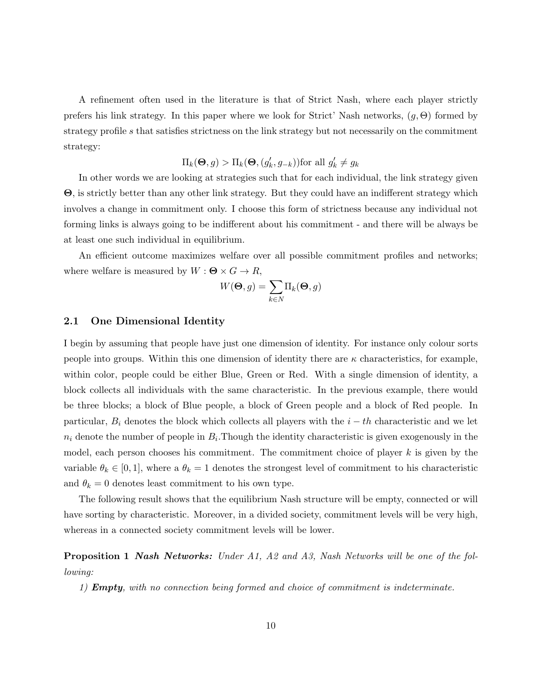A refinement often used in the literature is that of Strict Nash, where each player strictly prefers his link strategy. In this paper where we look for Strict' Nash networks,  $(g, \Theta)$  formed by strategy profile s that satisfies strictness on the link strategy but not necessarily on the commitment strategy:

$$
\Pi_k(\mathbf{\Theta}, g) > \Pi_k(\mathbf{\Theta}, (g'_k, g_{-k}))
$$
 for all  $g'_k \neq g_k$ 

In other words we are looking at strategies such that for each individual, the link strategy given Θ, is strictly better than any other link strategy. But they could have an indifferent strategy which involves a change in commitment only. I choose this form of strictness because any individual not forming links is always going to be indifferent about his commitment - and there will be always be at least one such individual in equilibrium.

An efficient outcome maximizes welfare over all possible commitment profiles and networks; where welfare is measured by  $W : \mathbf{\Theta} \times G \to R$ ,

$$
W(\mathbf{\Theta}, g) = \sum_{k \in N} \Pi_k(\mathbf{\Theta}, g)
$$

#### 2.1 One Dimensional Identity

I begin by assuming that people have just one dimension of identity. For instance only colour sorts people into groups. Within this one dimension of identity there are  $\kappa$  characteristics, for example, within color, people could be either Blue, Green or Red. With a single dimension of identity, a block collects all individuals with the same characteristic. In the previous example, there would be three blocks; a block of Blue people, a block of Green people and a block of Red people. In particular,  $B_i$  denotes the block which collects all players with the  $i - th$  characteristic and we let  $n_i$  denote the number of people in  $B_i$ . Though the identity characteristic is given exogenously in the model, each person chooses his commitment. The commitment choice of player  $k$  is given by the variable  $\theta_k \in [0,1]$ , where a  $\theta_k = 1$  denotes the strongest level of commitment to his characteristic and  $\theta_k = 0$  denotes least commitment to his own type.

The following result shows that the equilibrium Nash structure will be empty, connected or will have sorting by characteristic. Moreover, in a divided society, commitment levels will be very high, whereas in a connected society commitment levels will be lower.

**Proposition 1 Nash Networks:** Under A1, A2 and A3, Nash Networks will be one of the following:

1) **Empty**, with no connection being formed and choice of commitment is indeterminate.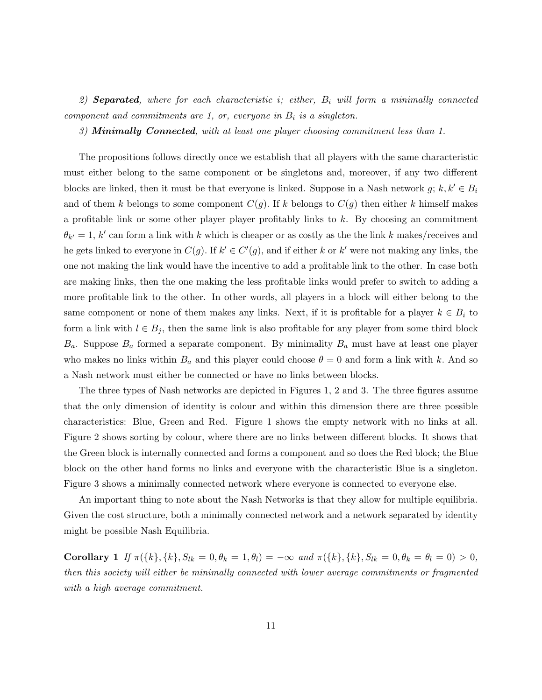2) **Separated**, where for each characteristic i; either,  $B_i$  will form a minimally connected component and commitments are 1, or, everyone in  $B_i$  is a singleton.

3) **Minimally Connected**, with at least one player choosing commitment less than 1.

The propositions follows directly once we establish that all players with the same characteristic must either belong to the same component or be singletons and, moreover, if any two different blocks are linked, then it must be that everyone is linked. Suppose in a Nash network  $g; k, k' \in B_i$ and of them k belongs to some component  $C(g)$ . If k belongs to  $C(g)$  then either k himself makes a profitable link or some other player player profitably links to  $k$ . By choosing an commitment  $\theta_{k'} = 1, k'$  can form a link with k which is cheaper or as costly as the the link k makes/receives and he gets linked to everyone in  $C(g)$ . If  $k' \in C'(g)$ , and if either k or k' were not making any links, the one not making the link would have the incentive to add a profitable link to the other. In case both are making links, then the one making the less profitable links would prefer to switch to adding a more profitable link to the other. In other words, all players in a block will either belong to the same component or none of them makes any links. Next, if it is profitable for a player  $k \in B_i$  to form a link with  $l \in B_j$ , then the same link is also profitable for any player from some third block  $B_a$ . Suppose  $B_a$  formed a separate component. By minimality  $B_a$  must have at least one player who makes no links within  $B_a$  and this player could choose  $\theta = 0$  and form a link with k. And so a Nash network must either be connected or have no links between blocks.

The three types of Nash networks are depicted in Figures 1, 2 and 3. The three figures assume that the only dimension of identity is colour and within this dimension there are three possible characteristics: Blue, Green and Red. Figure 1 shows the empty network with no links at all. Figure 2 shows sorting by colour, where there are no links between different blocks. It shows that the Green block is internally connected and forms a component and so does the Red block; the Blue block on the other hand forms no links and everyone with the characteristic Blue is a singleton. Figure 3 shows a minimally connected network where everyone is connected to everyone else.

An important thing to note about the Nash Networks is that they allow for multiple equilibria. Given the cost structure, both a minimally connected network and a network separated by identity might be possible Nash Equilibria.

Corollary 1 If  $\pi({k}, {k}, {S_{lk}} = 0, \theta_k = 1, \theta_l) = -\infty$  and  $\pi({k}, {k}, {S_{lk}} = 0, \theta_k = \theta_l = 0) > 0$ , then this society will either be minimally connected with lower average commitments or fragmented with a high average commitment.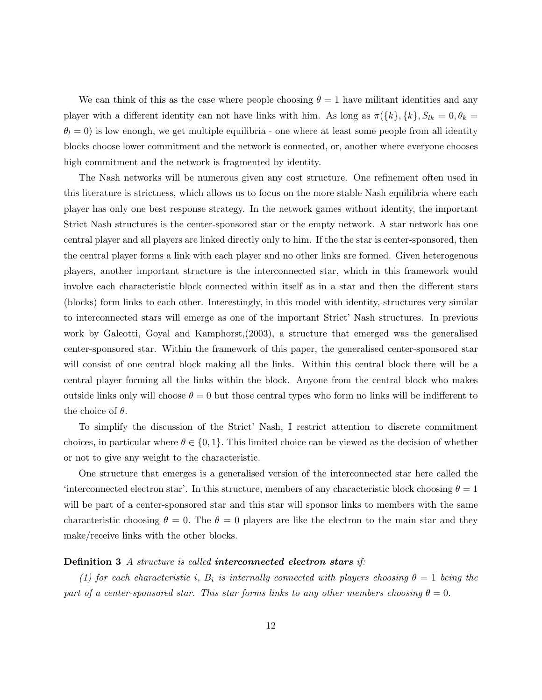We can think of this as the case where people choosing  $\theta = 1$  have militant identities and any player with a different identity can not have links with him. As long as  $\pi({k}, {k}, S_{lk} = 0, \theta_k =$  $\theta_l = 0$ ) is low enough, we get multiple equilibria - one where at least some people from all identity blocks choose lower commitment and the network is connected, or, another where everyone chooses high commitment and the network is fragmented by identity.

The Nash networks will be numerous given any cost structure. One refinement often used in this literature is strictness, which allows us to focus on the more stable Nash equilibria where each player has only one best response strategy. In the network games without identity, the important Strict Nash structures is the center-sponsored star or the empty network. A star network has one central player and all players are linked directly only to him. If the the star is center-sponsored, then the central player forms a link with each player and no other links are formed. Given heterogenous players, another important structure is the interconnected star, which in this framework would involve each characteristic block connected within itself as in a star and then the different stars (blocks) form links to each other. Interestingly, in this model with identity, structures very similar to interconnected stars will emerge as one of the important Strict' Nash structures. In previous work by Galeotti, Goyal and Kamphorst,(2003), a structure that emerged was the generalised center-sponsored star. Within the framework of this paper, the generalised center-sponsored star will consist of one central block making all the links. Within this central block there will be a central player forming all the links within the block. Anyone from the central block who makes outside links only will choose  $\theta = 0$  but those central types who form no links will be indifferent to the choice of  $\theta$ .

To simplify the discussion of the Strict' Nash, I restrict attention to discrete commitment choices, in particular where  $\theta \in \{0, 1\}$ . This limited choice can be viewed as the decision of whether or not to give any weight to the characteristic.

One structure that emerges is a generalised version of the interconnected star here called the 'interconnected electron star'. In this structure, members of any characteristic block choosing  $\theta = 1$ will be part of a center-sponsored star and this star will sponsor links to members with the same characteristic choosing  $\theta = 0$ . The  $\theta = 0$  players are like the electron to the main star and they make/receive links with the other blocks.

#### Definition 3 A structure is called interconnected electron stars if:

(1) for each characteristic i,  $B_i$  is internally connected with players choosing  $\theta = 1$  being the part of a center-sponsored star. This star forms links to any other members choosing  $\theta = 0$ .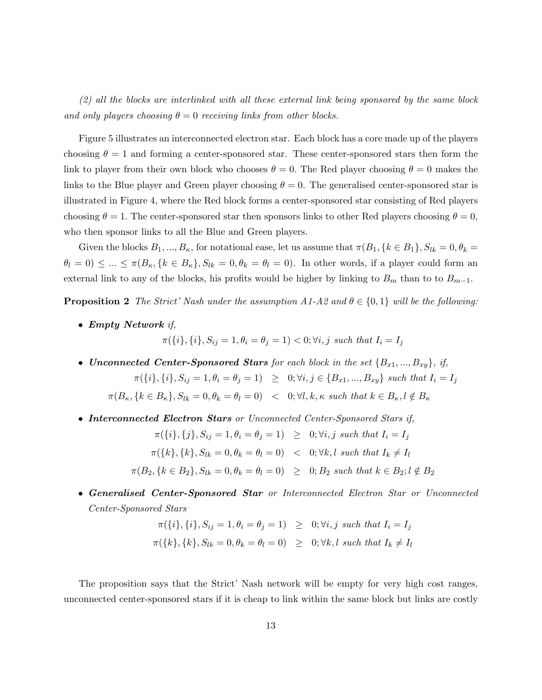(2) all the blocks are interlinked with all these external link being sponsored by the same block and only players choosing  $\theta = 0$  receiving links from other blocks.

Figure 5 illustrates an interconnected electron star. Each block has a core made up of the players choosing  $\theta = 1$  and forming a center-sponsored star. These center-sponsored stars then form the link to player from their own block who chooses  $\theta = 0$ . The Red player choosing  $\theta = 0$  makes the links to the Blue player and Green player choosing  $\theta = 0$ . The generalised center-sponsored star is illustrated in Figure 4, where the Red block forms a center-sponsored star consisting of Red players choosing  $\theta = 1$ . The center-sponsored star then sponsors links to other Red players choosing  $\theta = 0$ , who then sponsor links to all the Blue and Green players.

Given the blocks  $B_1, ..., B_{\kappa}$ , for notational ease, let us assume that  $\pi(B_1, \{k \in B_1\}, S_{lk} = 0, \theta_k = 0)$  $\theta_l = 0 \leq ... \leq \pi(B_\kappa, \{k \in B_\kappa\}, S_{lk} = 0, \theta_k = \theta_l = 0).$  In other words, if a player could form an external link to any of the blocks, his profits would be higher by linking to  $B_m$  than to to  $B_{m-1}$ .

**Proposition 2** The Strict' Nash under the assumption A1-A2 and  $\theta \in \{0, 1\}$  will be the following:

• Empty Network if,

$$
\pi({i}, {i}, {S}_{ij} = 1, \theta_i = \theta_j = 1) < 0; \forall i, j \text{ such that } I_i = I_j
$$

• Unconnected Center-Sponsored Stars for each block in the set  $\{B_{x1},...,B_{xy}\},$  if,

$$
\pi(\{i\},\{i\},S_{ij}=1,\theta_i=\theta_j=1) \geq 0; \forall i,j \in \{B_{x1},...,B_{xy}\} \text{ such that } I_i=I_j
$$

$$
\pi(B_{\kappa}, \{k \in B_{\kappa}\}, S_{lk} = 0, \theta_{k} = \theta_{l} = 0) \quad < \quad 0; \forall l, k, \kappa \text{ such that } k \in B_{\kappa}, l \notin B_{\kappa}
$$

• Interconnected Electron Stars or Unconnected Center-Sponsored Stars if,

$$
\pi({i}, {j}, S_{ij} = 1, \theta_i = \theta_j = 1) \geq 0; \forall i, j \text{ such that } I_i = I_j
$$
  

$$
\pi({k}, {k}, S_{lk} = 0, \theta_k = \theta_l = 0) < 0; \forall k, l \text{ such that } I_k \neq I_l
$$
  

$$
\pi(B_2, {k \in B_2}, S_{lk} = 0, \theta_k = \theta_l = 0) \geq 0; B_2 \text{ such that } k \in B_2; l \notin B_2
$$

• Generalised Center-Sponsored Star or Interconnected Electron Star or Unconnected Center-Sponsored Stars

$$
\pi({i}, {i}, {S}_{ij} = 1, \theta_i = \theta_j = 1) \geq 0; \forall i, j \text{ such that } I_i = I_j
$$
  

$$
\pi({k}, {k}, {S}_{lk} = 0, \theta_k = \theta_l = 0) \geq 0; \forall k, l \text{ such that } I_k \neq I_l
$$

The proposition says that the Strict' Nash network will be empty for very high cost ranges, unconnected center-sponsored stars if it is cheap to link within the same block but links are costly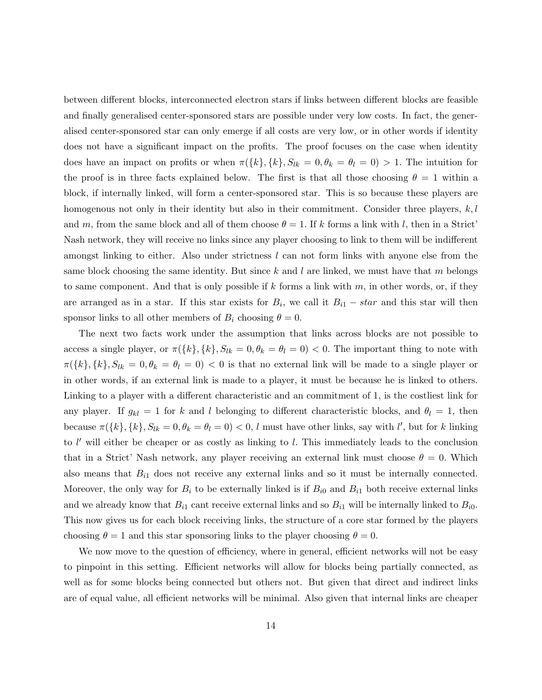between different blocks, interconnected electron stars if links between different blocks are feasible and finally generalised center-sponsored stars are possible under very low costs. In fact, the generalised center-sponsored star can only emerge if all costs are very low, or in other words if identity does not have a significant impact on the profits. The proof focuses on the case when identity does have an impact on profits or when  $\pi({k}, {k}, S_{lk} = 0, \theta_k = \theta_l = 0) > 1$ . The intuition for the proof is in three facts explained below. The first is that all those choosing  $\theta = 1$  within a block, if internally linked, will form a center-sponsored star. This is so because these players are homogenous not only in their identity but also in their commitment. Consider three players,  $k, l$ and m, from the same block and all of them choose  $\theta = 1$ . If k forms a link with l, then in a Strict' Nash network, they will receive no links since any player choosing to link to them will be indifferent amongst linking to either. Also under strictness  $l$  can not form links with anyone else from the same block choosing the same identity. But since k and l are linked, we must have that m belongs to same component. And that is only possible if  $k$  forms a link with  $m$ , in other words, or, if they are arranged as in a star. If this star exists for  $B_i$ , we call it  $B_{i1} - star$  and this star will then sponsor links to all other members of  $B_i$  choosing  $\theta = 0$ .

The next two facts work under the assumption that links across blocks are not possible to access a single player, or  $\pi({k}, {k}, S_{lk} = 0, \theta_k = \theta_l = 0) < 0$ . The important thing to note with  $\pi({k}, {k}, S_{lk} = 0, \theta_k = \theta_l = 0) < 0$  is that no external link will be made to a single player or in other words, if an external link is made to a player, it must be because he is linked to others. Linking to a player with a different characteristic and an commitment of 1, is the costliest link for any player. If  $g_{kl} = 1$  for k and l belonging to different characteristic blocks, and  $\theta_l = 1$ , then because  $\pi({k}, {k}, {k}, S_{lk} = 0, \theta_k = \theta_l = 0) < 0$ , l must have other links, say with l', but for k linking to  $l'$  will either be cheaper or as costly as linking to  $l$ . This immediately leads to the conclusion that in a Strict' Nash network, any player receiving an external link must choose  $\theta = 0$ . Which also means that  $B_{i1}$  does not receive any external links and so it must be internally connected. Moreover, the only way for  $B_i$  to be externally linked is if  $B_{i0}$  and  $B_{i1}$  both receive external links and we already know that  $B_{i1}$  cant receive external links and so  $B_{i1}$  will be internally linked to  $B_{i0}$ . This now gives us for each block receiving links, the structure of a core star formed by the players choosing  $\theta = 1$  and this star sponsoring links to the player choosing  $\theta = 0$ .

We now move to the question of efficiency, where in general, efficient networks will not be easy to pinpoint in this setting. Efficient networks will allow for blocks being partially connected, as well as for some blocks being connected but others not. But given that direct and indirect links are of equal value, all efficient networks will be minimal. Also given that internal links are cheaper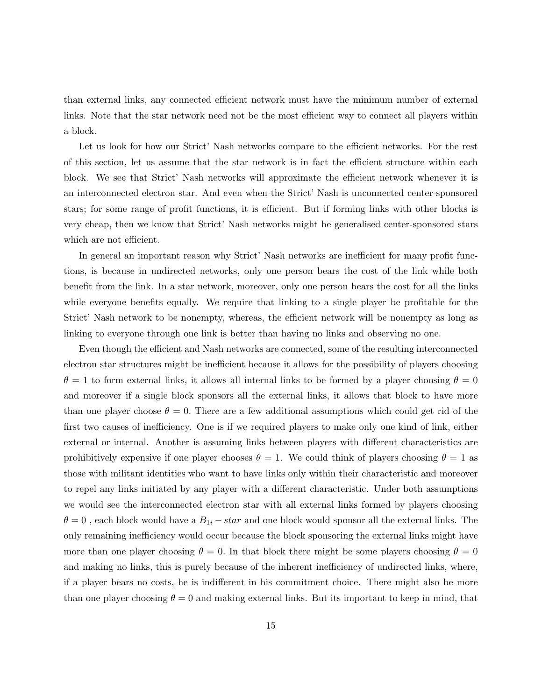than external links, any connected efficient network must have the minimum number of external links. Note that the star network need not be the most efficient way to connect all players within a block.

Let us look for how our Strict' Nash networks compare to the efficient networks. For the rest of this section, let us assume that the star network is in fact the efficient structure within each block. We see that Strict' Nash networks will approximate the efficient network whenever it is an interconnected electron star. And even when the Strict' Nash is unconnected center-sponsored stars; for some range of profit functions, it is efficient. But if forming links with other blocks is very cheap, then we know that Strict' Nash networks might be generalised center-sponsored stars which are not efficient.

In general an important reason why Strict' Nash networks are inefficient for many profit functions, is because in undirected networks, only one person bears the cost of the link while both benefit from the link. In a star network, moreover, only one person bears the cost for all the links while everyone benefits equally. We require that linking to a single player be profitable for the Strict' Nash network to be nonempty, whereas, the efficient network will be nonempty as long as linking to everyone through one link is better than having no links and observing no one.

Even though the efficient and Nash networks are connected, some of the resulting interconnected electron star structures might be inefficient because it allows for the possibility of players choosing  $\theta = 1$  to form external links, it allows all internal links to be formed by a player choosing  $\theta = 0$ and moreover if a single block sponsors all the external links, it allows that block to have more than one player choose  $\theta = 0$ . There are a few additional assumptions which could get rid of the first two causes of inefficiency. One is if we required players to make only one kind of link, either external or internal. Another is assuming links between players with different characteristics are prohibitively expensive if one player chooses  $\theta = 1$ . We could think of players choosing  $\theta = 1$  as those with militant identities who want to have links only within their characteristic and moreover to repel any links initiated by any player with a different characteristic. Under both assumptions we would see the interconnected electron star with all external links formed by players choosing  $\theta = 0$ , each block would have a  $B_{1i} - star$  and one block would sponsor all the external links. The only remaining inefficiency would occur because the block sponsoring the external links might have more than one player choosing  $\theta = 0$ . In that block there might be some players choosing  $\theta = 0$ and making no links, this is purely because of the inherent inefficiency of undirected links, where, if a player bears no costs, he is indifferent in his commitment choice. There might also be more than one player choosing  $\theta = 0$  and making external links. But its important to keep in mind, that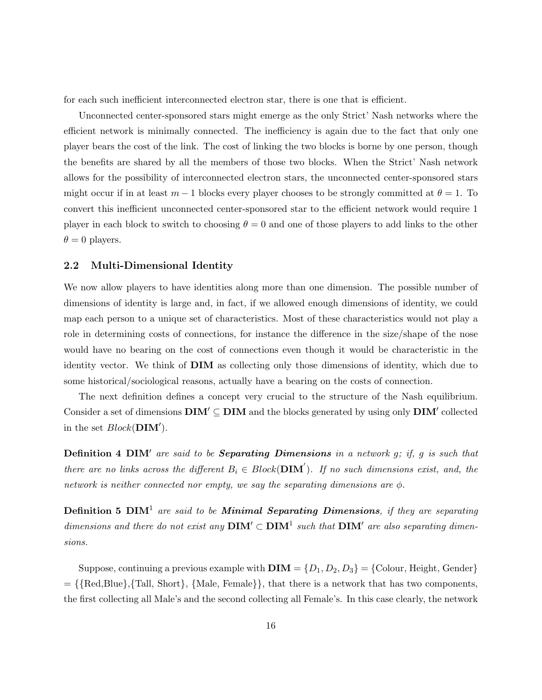for each such inefficient interconnected electron star, there is one that is efficient.

Unconnected center-sponsored stars might emerge as the only Strict' Nash networks where the efficient network is minimally connected. The inefficiency is again due to the fact that only one player bears the cost of the link. The cost of linking the two blocks is borne by one person, though the benefits are shared by all the members of those two blocks. When the Strict' Nash network allows for the possibility of interconnected electron stars, the unconnected center-sponsored stars might occur if in at least  $m-1$  blocks every player chooses to be strongly committed at  $\theta = 1$ . To convert this inefficient unconnected center-sponsored star to the efficient network would require 1 player in each block to switch to choosing  $\theta = 0$  and one of those players to add links to the other  $\theta = 0$  players.

#### 2.2 Multi-Dimensional Identity

We now allow players to have identities along more than one dimension. The possible number of dimensions of identity is large and, in fact, if we allowed enough dimensions of identity, we could map each person to a unique set of characteristics. Most of these characteristics would not play a role in determining costs of connections, for instance the difference in the size/shape of the nose would have no bearing on the cost of connections even though it would be characteristic in the identity vector. We think of DIM as collecting only those dimensions of identity, which due to some historical/sociological reasons, actually have a bearing on the costs of connection.

The next definition defines a concept very crucial to the structure of the Nash equilibrium. Consider a set of dimensions  $\text{DIM}' \subseteq \text{DIM}$  and the blocks generated by using only  $\text{DIM}'$  collected in the set  $Block(DIM')$ .

Definition 4 DIM' are said to be Separating Dimensions in a network g; if, g is such that there are no links across the different  $B_i \in Block(\mathbf{DIM}')$ . If no such dimensions exist, and, the network is neither connected nor empty, we say the separating dimensions are  $\phi$ .

**Definition 5 DIM<sup>1</sup>** are said to be **Minimal Separating Dimensions**, if they are separating dimensions and there do not exist any  $\text{DIM}^{\prime} \subset \text{DIM}^1$  such that  $\text{DIM}^{\prime}$  are also separating dimensions.

Suppose, continuing a previous example with  $\textbf{DIM} = \{D_1, D_2, D_3\} = \{\text{Colour, Height, Gender}\}\$  $= \{$ {Red,Blue},{Tall, Short},  $\{Male, Female\}$ }, that there is a network that has two components, the first collecting all Male's and the second collecting all Female's. In this case clearly, the network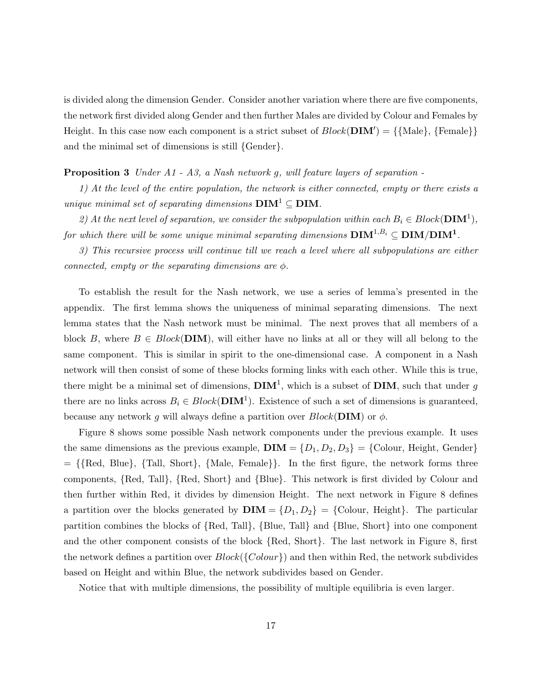is divided along the dimension Gender. Consider another variation where there are five components, the network first divided along Gender and then further Males are divided by Colour and Females by Height. In this case now each component is a strict subset of  $Block(DIM') = \{\text{Male}\}, \text{Female}\}\$ and the minimal set of dimensions is still {Gender}.

#### **Proposition 3** Under A1 - A3, a Nash network g, will feature layers of separation -

1) At the level of the entire population, the network is either connected, empty or there exists a unique minimal set of separating dimensions  $\text{DIM}^1 \subseteq \text{DIM}$ .

2) At the next level of separation, we consider the subpopulation within each  $B_i \in Block(\mathbf{DIM}^1)$ , for which there will be some unique minimal separating dimensions  $\mathbf{DIM}^{1,B_i}\subseteq \mathbf{DIM}/\mathbf{DIM}^1$ .

3) This recursive process will continue till we reach a level where all subpopulations are either connected, empty or the separating dimensions are  $\phi$ .

To establish the result for the Nash network, we use a series of lemma's presented in the appendix. The first lemma shows the uniqueness of minimal separating dimensions. The next lemma states that the Nash network must be minimal. The next proves that all members of a block B, where  $B \in Block(DIM)$ , will either have no links at all or they will all belong to the same component. This is similar in spirit to the one-dimensional case. A component in a Nash network will then consist of some of these blocks forming links with each other. While this is true, there might be a minimal set of dimensions,  $\text{DIM}^1$ , which is a subset of  $\text{DIM}$ , such that under g there are no links across  $B_i \in Block(DIM^1)$ . Existence of such a set of dimensions is guaranteed, because any network g will always define a partition over  $Block(DIM)$  or  $\phi$ .

Figure 8 shows some possible Nash network components under the previous example. It uses the same dimensions as the previous example,  $\textbf{DIM} = \{D_1, D_2, D_3\} = \{\text{Color}, \text{Height}, \text{ gender}\}\$  $= \{$ {Red, Blue},  $\{Tall, Short\}$ ,  $\{Male, Female\}$ }. In the first figure, the network forms three components, {Red, Tall}, {Red, Short} and {Blue}. This network is first divided by Colour and then further within Red, it divides by dimension Height. The next network in Figure 8 defines a partition over the blocks generated by  $\textbf{DIM} = \{D_1, D_2\} = \{\text{Colour, Height}\}\.$  The particular partition combines the blocks of {Red, Tall}, {Blue, Tall} and {Blue, Short} into one component and the other component consists of the block {Red, Short}. The last network in Figure 8, first the network defines a partition over  $Block({\{Color\}})$  and then within Red, the network subdivides based on Height and within Blue, the network subdivides based on Gender.

Notice that with multiple dimensions, the possibility of multiple equilibria is even larger.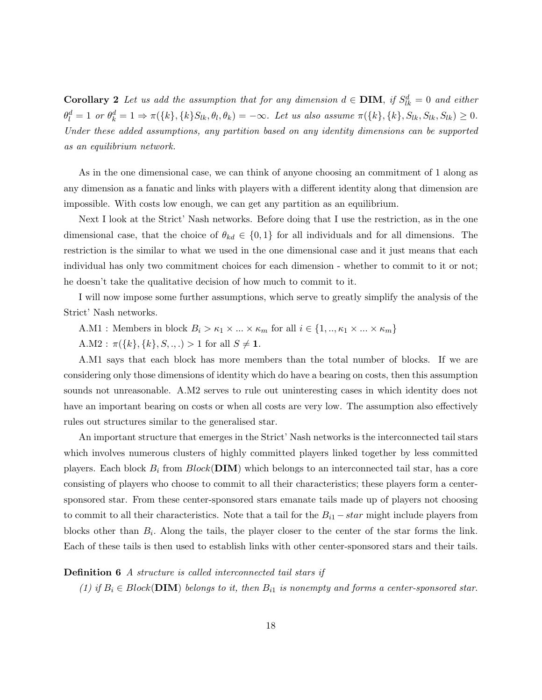**Corollary 2** Let us add the assumption that for any dimension  $d \in$  **DIM**, if  $S_{lk}^d = 0$  and either  $\theta_l^d = 1 \text{ or } \theta_k^d = 1 \Rightarrow \pi(\{k\}, \{k\}S_{lk}, \theta_l, \theta_k) = -\infty.$  Let us also assume  $\pi(\{k\}, \{k\}, S_{lk}, S_{lk}, S_{lk}) \geq 0.$ Under these added assumptions, any partition based on any identity dimensions can be supported as an equilibrium network.

As in the one dimensional case, we can think of anyone choosing an commitment of 1 along as any dimension as a fanatic and links with players with a different identity along that dimension are impossible. With costs low enough, we can get any partition as an equilibrium.

Next I look at the Strict' Nash networks. Before doing that I use the restriction, as in the one dimensional case, that the choice of  $\theta_{kd} \in \{0,1\}$  for all individuals and for all dimensions. The restriction is the similar to what we used in the one dimensional case and it just means that each individual has only two commitment choices for each dimension - whether to commit to it or not; he doesn't take the qualitative decision of how much to commit to it.

I will now impose some further assumptions, which serve to greatly simplify the analysis of the Strict' Nash networks.

A.M1 : Members in block  $B_i > \kappa_1 \times ... \times \kappa_m$  for all  $i \in \{1, ..., \kappa_1 \times ... \times \kappa_m\}$ 

A.M2 :  $\pi({k}, {k}, S, \ldots) > 1$  for all  $S \neq 1$ .

A.M1 says that each block has more members than the total number of blocks. If we are considering only those dimensions of identity which do have a bearing on costs, then this assumption sounds not unreasonable. A.M2 serves to rule out uninteresting cases in which identity does not have an important bearing on costs or when all costs are very low. The assumption also effectively rules out structures similar to the generalised star.

An important structure that emerges in the Strict' Nash networks is the interconnected tail stars which involves numerous clusters of highly committed players linked together by less committed players. Each block  $B_i$  from  $Block(DIM)$  which belongs to an interconnected tail star, has a core consisting of players who choose to commit to all their characteristics; these players form a centersponsored star. From these center-sponsored stars emanate tails made up of players not choosing to commit to all their characteristics. Note that a tail for the  $B_{i1} - star$  might include players from blocks other than  $B_i$ . Along the tails, the player closer to the center of the star forms the link. Each of these tails is then used to establish links with other center-sponsored stars and their tails.

#### Definition 6 A structure is called interconnected tail stars if

(1) if  $B_i \in Block(DIM)$  belongs to it, then  $B_{i1}$  is nonempty and forms a center-sponsored star.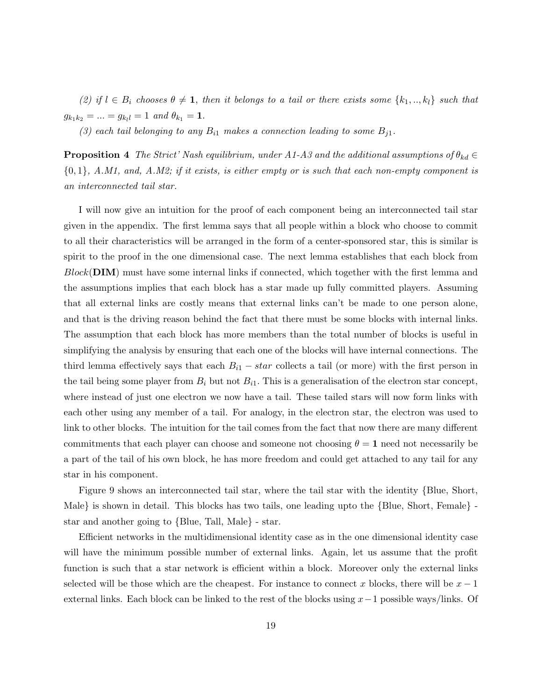(2) if  $l \in B_i$  chooses  $\theta \neq 1$ , then it belongs to a tail or there exists some  $\{k_1, ..., k_l\}$  such that  $g_{k_1k_2} = ... = g_{k_ll} = 1$  and  $\theta_{k_1} = 1$ .

(3) each tail belonging to any  $B_{i1}$  makes a connection leading to some  $B_{i1}$ .

**Proposition 4** The Strict' Nash equilibrium, under A1-A3 and the additional assumptions of  $\theta_{kd} \in$  ${0, 1}$ , A.M1, and, A.M2; if it exists, is either empty or is such that each non-empty component is an interconnected tail star.

I will now give an intuition for the proof of each component being an interconnected tail star given in the appendix. The first lemma says that all people within a block who choose to commit to all their characteristics will be arranged in the form of a center-sponsored star, this is similar is spirit to the proof in the one dimensional case. The next lemma establishes that each block from  $Block(DIM)$  must have some internal links if connected, which together with the first lemma and the assumptions implies that each block has a star made up fully committed players. Assuming that all external links are costly means that external links can't be made to one person alone, and that is the driving reason behind the fact that there must be some blocks with internal links. The assumption that each block has more members than the total number of blocks is useful in simplifying the analysis by ensuring that each one of the blocks will have internal connections. The third lemma effectively says that each  $B_{i1} - star$  collects a tail (or more) with the first person in the tail being some player from  $B_i$  but not  $B_{i1}$ . This is a generalisation of the electron star concept, where instead of just one electron we now have a tail. These tailed stars will now form links with each other using any member of a tail. For analogy, in the electron star, the electron was used to link to other blocks. The intuition for the tail comes from the fact that now there are many different commitments that each player can choose and someone not choosing  $\theta = 1$  need not necessarily be a part of the tail of his own block, he has more freedom and could get attached to any tail for any star in his component.

Figure 9 shows an interconnected tail star, where the tail star with the identity {Blue, Short, Male} is shown in detail. This blocks has two tails, one leading upto the {Blue, Short, Female} star and another going to {Blue, Tall, Male} - star.

Efficient networks in the multidimensional identity case as in the one dimensional identity case will have the minimum possible number of external links. Again, let us assume that the profit function is such that a star network is efficient within a block. Moreover only the external links selected will be those which are the cheapest. For instance to connect x blocks, there will be  $x - 1$ external links. Each block can be linked to the rest of the blocks using  $x-1$  possible ways/links. Of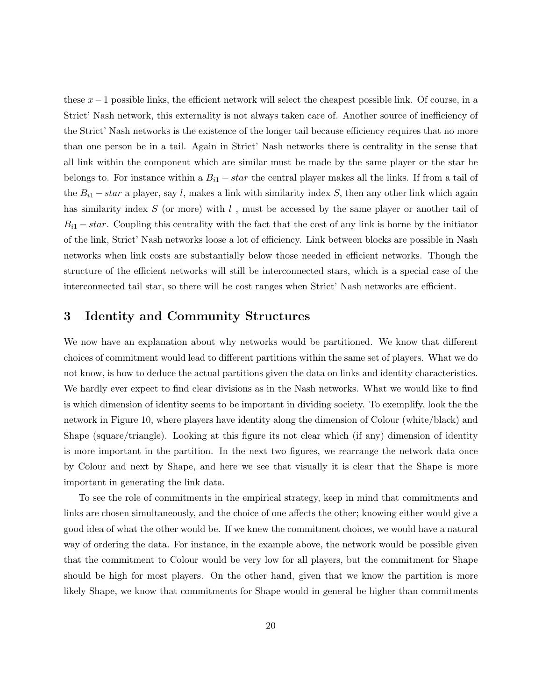these  $x-1$  possible links, the efficient network will select the cheapest possible link. Of course, in a Strict' Nash network, this externality is not always taken care of. Another source of inefficiency of the Strict' Nash networks is the existence of the longer tail because efficiency requires that no more than one person be in a tail. Again in Strict' Nash networks there is centrality in the sense that all link within the component which are similar must be made by the same player or the star he belongs to. For instance within a  $B_{i1} - star$  the central player makes all the links. If from a tail of the  $B_{i1}$  – star a player, say l, makes a link with similarity index S, then any other link which again has similarity index  $S$  (or more) with  $l$ , must be accessed by the same player or another tail of  $B_{i1} - star$ . Coupling this centrality with the fact that the cost of any link is borne by the initiator of the link, Strict' Nash networks loose a lot of efficiency. Link between blocks are possible in Nash networks when link costs are substantially below those needed in efficient networks. Though the structure of the efficient networks will still be interconnected stars, which is a special case of the interconnected tail star, so there will be cost ranges when Strict' Nash networks are efficient.

### 3 Identity and Community Structures

We now have an explanation about why networks would be partitioned. We know that different choices of commitment would lead to different partitions within the same set of players. What we do not know, is how to deduce the actual partitions given the data on links and identity characteristics. We hardly ever expect to find clear divisions as in the Nash networks. What we would like to find is which dimension of identity seems to be important in dividing society. To exemplify, look the the network in Figure 10, where players have identity along the dimension of Colour (white/black) and Shape (square/triangle). Looking at this figure its not clear which (if any) dimension of identity is more important in the partition. In the next two figures, we rearrange the network data once by Colour and next by Shape, and here we see that visually it is clear that the Shape is more important in generating the link data.

To see the role of commitments in the empirical strategy, keep in mind that commitments and links are chosen simultaneously, and the choice of one affects the other; knowing either would give a good idea of what the other would be. If we knew the commitment choices, we would have a natural way of ordering the data. For instance, in the example above, the network would be possible given that the commitment to Colour would be very low for all players, but the commitment for Shape should be high for most players. On the other hand, given that we know the partition is more likely Shape, we know that commitments for Shape would in general be higher than commitments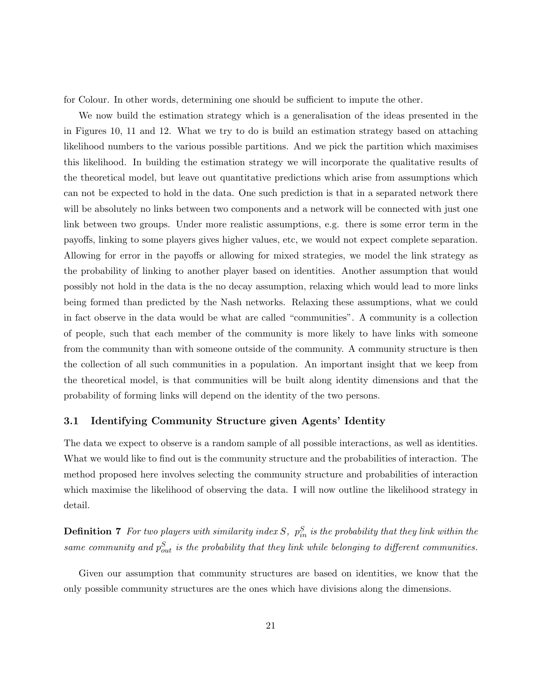for Colour. In other words, determining one should be sufficient to impute the other.

We now build the estimation strategy which is a generalisation of the ideas presented in the in Figures 10, 11 and 12. What we try to do is build an estimation strategy based on attaching likelihood numbers to the various possible partitions. And we pick the partition which maximises this likelihood. In building the estimation strategy we will incorporate the qualitative results of the theoretical model, but leave out quantitative predictions which arise from assumptions which can not be expected to hold in the data. One such prediction is that in a separated network there will be absolutely no links between two components and a network will be connected with just one link between two groups. Under more realistic assumptions, e.g. there is some error term in the payoffs, linking to some players gives higher values, etc, we would not expect complete separation. Allowing for error in the payoffs or allowing for mixed strategies, we model the link strategy as the probability of linking to another player based on identities. Another assumption that would possibly not hold in the data is the no decay assumption, relaxing which would lead to more links being formed than predicted by the Nash networks. Relaxing these assumptions, what we could in fact observe in the data would be what are called "communities". A community is a collection of people, such that each member of the community is more likely to have links with someone from the community than with someone outside of the community. A community structure is then the collection of all such communities in a population. An important insight that we keep from the theoretical model, is that communities will be built along identity dimensions and that the probability of forming links will depend on the identity of the two persons.

#### 3.1 Identifying Community Structure given Agents' Identity

The data we expect to observe is a random sample of all possible interactions, as well as identities. What we would like to find out is the community structure and the probabilities of interaction. The method proposed here involves selecting the community structure and probabilities of interaction which maximise the likelihood of observing the data. I will now outline the likelihood strategy in detail.

**Definition 7** For two players with similarity index S,  $p_{in}^S$  is the probability that they link within the same community and  $p_{out}^S$  is the probability that they link while belonging to different communities.

Given our assumption that community structures are based on identities, we know that the only possible community structures are the ones which have divisions along the dimensions.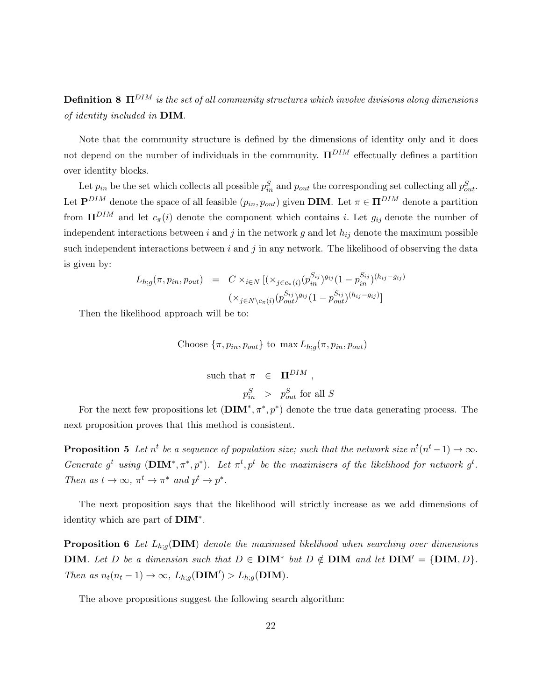**Definition 8**  $\Pi^{DIM}$  is the set of all community structures which involve divisions along dimensions of identity included in DIM.

Note that the community structure is defined by the dimensions of identity only and it does not depend on the number of individuals in the community.  $\Pi^{DIM}$  effectually defines a partition over identity blocks.

Let  $p_{in}$  be the set which collects all possible  $p_{in}^S$  and  $p_{out}$  the corresponding set collecting all  $p_{out}^S$ . Let  $\mathbf{P}^{DIM}$  denote the space of all feasible  $(p_{in}, p_{out})$  given **DIM**. Let  $\pi \in \mathbf{\Pi}^{DIM}$  denote a partition from  $\Pi^{DIM}$  and let  $c_{\pi}(i)$  denote the component which contains i. Let  $g_{ij}$  denote the number of independent interactions between i and j in the network g and let  $h_{ij}$  denote the maximum possible such independent interactions between i and j in any network. The likelihood of observing the data is given by:

$$
L_{h;g}(\pi, p_{in}, p_{out}) = C \times_{i \in N} [(\times_{j \in c_{\pi}(i)} (p_{in}^{S_{ij}})^{g_{ij}} (1 - p_{in}^{S_{ij}})^{(h_{ij} - g_{ij})}
$$

$$
(\times_{j \in N \setminus c_{\pi}(i)} (p_{out}^{S_{ij}})^{g_{ij}} (1 - p_{out}^{S_{ij}})^{(h_{ij} - g_{ij})}]
$$

Then the likelihood approach will be to:

Choose 
$$
\{\pi, p_{in}, p_{out}\}
$$
 to  $\max L_{h;g}(\pi, p_{in}, p_{out})$   
such that  $\pi \in \Pi^{DIM}$ ,  
 $p_{in}^{S} > p_{out}^{S}$  for all S

For the next few propositions let  $(DIM^*, \pi^*, p^*)$  denote the true data generating process. The next proposition proves that this method is consistent.

**Proposition 5** Let  $n^t$  be a sequence of population size; such that the network size  $n^t(n^t-1) \to \infty$ . Generate  $g^t$  using  $(DIM^*, \pi^*, p^*)$ . Let  $\pi^t, p^t$  be the maximisers of the likelihood for network  $g^t$ . Then as  $t \to \infty$ ,  $\pi^t \to \pi^*$  and  $p^t \to p^*$ .

The next proposition says that the likelihood will strictly increase as we add dimensions of identity which are part of  $\text{DIM}^*$ .

**Proposition 6** Let  $L_{h,g}(\text{DIM})$  denote the maximised likelihood when searching over dimensions **DIM**. Let D be a dimension such that  $D \in \text{DIM}^*$  but  $D \notin \text{DIM}$  and let  $\text{DIM}' = {\text{DIM}, D}$ . Then as  $n_t(n_t - 1) \to \infty$ ,  $L_{h;g}(\text{DIM}') > L_{h;g}(\text{DIM})$ .

The above propositions suggest the following search algorithm: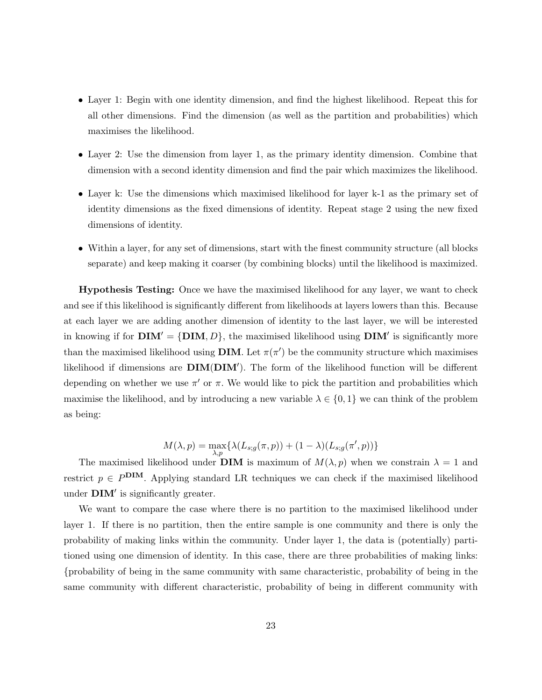- Layer 1: Begin with one identity dimension, and find the highest likelihood. Repeat this for all other dimensions. Find the dimension (as well as the partition and probabilities) which maximises the likelihood.
- Layer 2: Use the dimension from layer 1, as the primary identity dimension. Combine that dimension with a second identity dimension and find the pair which maximizes the likelihood.
- Layer k: Use the dimensions which maximised likelihood for layer k-1 as the primary set of identity dimensions as the fixed dimensions of identity. Repeat stage 2 using the new fixed dimensions of identity.
- Within a layer, for any set of dimensions, start with the finest community structure (all blocks separate) and keep making it coarser (by combining blocks) until the likelihood is maximized.

Hypothesis Testing: Once we have the maximised likelihood for any layer, we want to check and see if this likelihood is significantly different from likelihoods at layers lowers than this. Because at each layer we are adding another dimension of identity to the last layer, we will be interested in knowing if for  $\text{DIM}' = {\text{DIM}, D}$ , the maximised likelihood using  $\text{DIM}'$  is significantly more than the maximised likelihood using **DIM**. Let  $\pi(\pi')$  be the community structure which maximises likelihood if dimensions are  $\text{DIM}(DIM')$ . The form of the likelihood function will be different depending on whether we use  $\pi'$  or  $\pi$ . We would like to pick the partition and probabilities which maximise the likelihood, and by introducing a new variable  $\lambda \in \{0, 1\}$  we can think of the problem as being:

$$
M(\lambda, p) = \max_{\lambda, p} \{ \lambda(L_{s;g}(\pi, p)) + (1 - \lambda)(L_{s;g}(\pi', p)) \}
$$

The maximised likelihood under **DIM** is maximum of  $M(\lambda, p)$  when we constrain  $\lambda = 1$  and restrict  $p \in P^{\text{DIM}}$ . Applying standard LR techniques we can check if the maximised likelihood under  $\text{DIM}'$  is significantly greater.

We want to compare the case where there is no partition to the maximised likelihood under layer 1. If there is no partition, then the entire sample is one community and there is only the probability of making links within the community. Under layer 1, the data is (potentially) partitioned using one dimension of identity. In this case, there are three probabilities of making links: {probability of being in the same community with same characteristic, probability of being in the same community with different characteristic, probability of being in different community with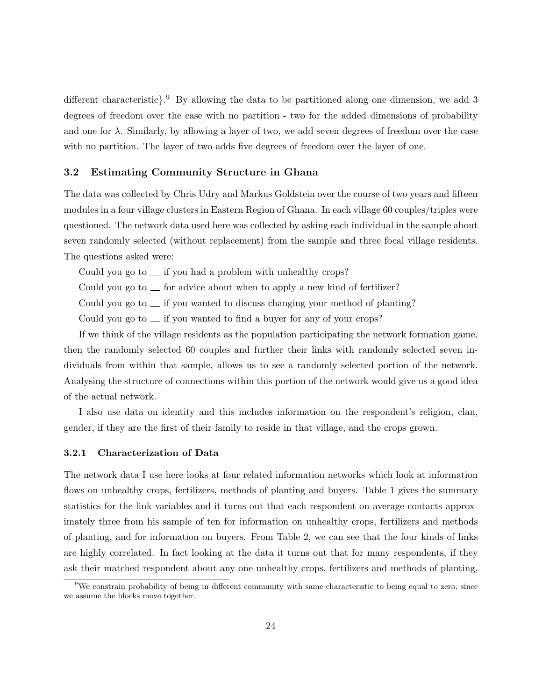different characteristic<sup>2</sup>. By allowing the data to be partitioned along one dimension, we add 3 degrees of freedom over the case with no partition - two for the added dimensions of probability and one for  $\lambda$ . Similarly, by allowing a layer of two, we add seven degrees of freedom over the case with no partition. The layer of two adds five degrees of freedom over the layer of one.

#### 3.2 Estimating Community Structure in Ghana

The data was collected by Chris Udry and Markus Goldstein over the course of two years and fifteen modules in a four village clusters in Eastern Region of Ghana. In each village 60 couples/triples were questioned. The network data used here was collected by asking each individual in the sample about seven randomly selected (without replacement) from the sample and three focal village residents. The questions asked were:

Could you go to  $\equiv$  if you had a problem with unhealthy crops?

Could you go to  $\ldots$  for advice about when to apply a new kind of fertilizer?

Could you go to  $\sim$  if you wanted to discuss changing your method of planting?

Could you go to  $\ldots$  if you wanted to find a buyer for any of your crops?

If we think of the village residents as the population participating the network formation game, then the randomly selected 60 couples and further their links with randomly selected seven individuals from within that sample, allows us to see a randomly selected portion of the network. Analysing the structure of connections within this portion of the network would give us a good idea of the actual network.

I also use data on identity and this includes information on the respondent's religion, clan, gender, if they are the first of their family to reside in that village, and the crops grown.

#### 3.2.1 Characterization of Data

The network data I use here looks at four related information networks which look at information flows on unhealthy crops, fertilizers, methods of planting and buyers. Table 1 gives the summary statistics for the link variables and it turns out that each respondent on average contacts approximately three from his sample of ten for information on unhealthy crops, fertilizers and methods of planting, and for information on buyers. From Table 2, we can see that the four kinds of links are highly correlated. In fact looking at the data it turns out that for many respondents, if they ask their matched respondent about any one unhealthy crops, fertilizers and methods of planting,

<sup>&</sup>lt;sup>9</sup>We constrain probability of being in different community with same characteristic to being equal to zero, since we assume the blocks move together.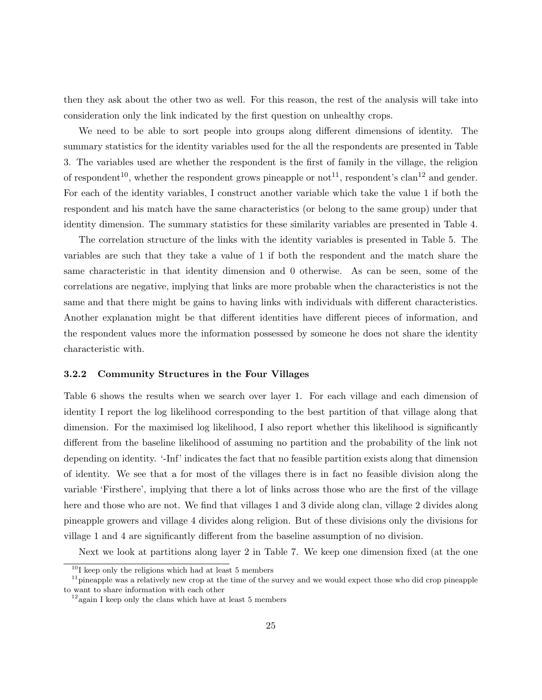then they ask about the other two as well. For this reason, the rest of the analysis will take into consideration only the link indicated by the first question on unhealthy crops.

We need to be able to sort people into groups along different dimensions of identity. The summary statistics for the identity variables used for the all the respondents are presented in Table 3. The variables used are whether the respondent is the first of family in the village, the religion of respondent<sup>10</sup>, whether the respondent grows pineapple or not<sup>11</sup>, respondent's clan<sup>12</sup> and gender. For each of the identity variables, I construct another variable which take the value 1 if both the respondent and his match have the same characteristics (or belong to the same group) under that identity dimension. The summary statistics for these similarity variables are presented in Table 4.

The correlation structure of the links with the identity variables is presented in Table 5. The variables are such that they take a value of 1 if both the respondent and the match share the same characteristic in that identity dimension and 0 otherwise. As can be seen, some of the correlations are negative, implying that links are more probable when the characteristics is not the same and that there might be gains to having links with individuals with different characteristics. Another explanation might be that different identities have different pieces of information, and the respondent values more the information possessed by someone he does not share the identity characteristic with.

#### 3.2.2 Community Structures in the Four Villages

Table 6 shows the results when we search over layer 1. For each village and each dimension of identity I report the log likelihood corresponding to the best partition of that village along that dimension. For the maximised log likelihood, I also report whether this likelihood is significantly different from the baseline likelihood of assuming no partition and the probability of the link not depending on identity. '-Inf' indicates the fact that no feasible partition exists along that dimension of identity. We see that a for most of the villages there is in fact no feasible division along the variable 'Firsthere', implying that there a lot of links across those who are the first of the village here and those who are not. We find that villages 1 and 3 divide along clan, village 2 divides along pineapple growers and village 4 divides along religion. But of these divisions only the divisions for village 1 and 4 are significantly different from the baseline assumption of no division.

Next we look at partitions along layer 2 in Table 7. We keep one dimension fixed (at the one

 $10<sup>I</sup>$  keep only the religions which had at least 5 members

 $11$  pineapple was a relatively new crop at the time of the survey and we would expect those who did crop pineapple to want to share information with each other

 $12$ again I keep only the clans which have at least 5 members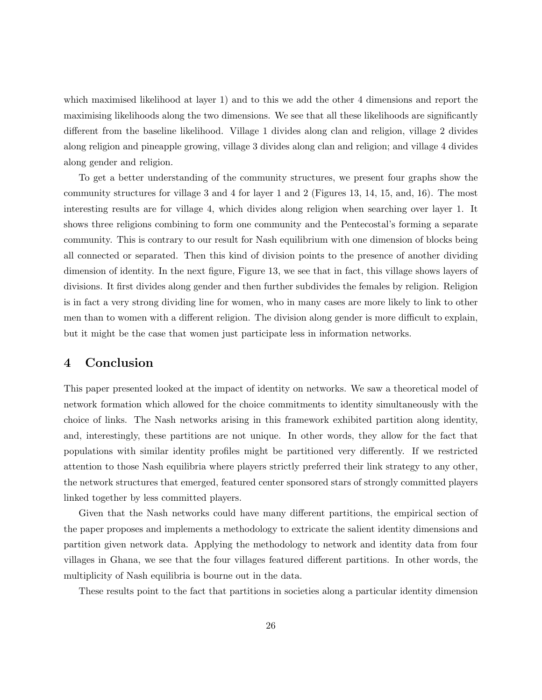which maximised likelihood at layer 1) and to this we add the other 4 dimensions and report the maximising likelihoods along the two dimensions. We see that all these likelihoods are significantly different from the baseline likelihood. Village 1 divides along clan and religion, village 2 divides along religion and pineapple growing, village 3 divides along clan and religion; and village 4 divides along gender and religion.

To get a better understanding of the community structures, we present four graphs show the community structures for village 3 and 4 for layer 1 and 2 (Figures 13, 14, 15, and, 16). The most interesting results are for village 4, which divides along religion when searching over layer 1. It shows three religions combining to form one community and the Pentecostal's forming a separate community. This is contrary to our result for Nash equilibrium with one dimension of blocks being all connected or separated. Then this kind of division points to the presence of another dividing dimension of identity. In the next figure, Figure 13, we see that in fact, this village shows layers of divisions. It first divides along gender and then further subdivides the females by religion. Religion is in fact a very strong dividing line for women, who in many cases are more likely to link to other men than to women with a different religion. The division along gender is more difficult to explain, but it might be the case that women just participate less in information networks.

## 4 Conclusion

This paper presented looked at the impact of identity on networks. We saw a theoretical model of network formation which allowed for the choice commitments to identity simultaneously with the choice of links. The Nash networks arising in this framework exhibited partition along identity, and, interestingly, these partitions are not unique. In other words, they allow for the fact that populations with similar identity profiles might be partitioned very differently. If we restricted attention to those Nash equilibria where players strictly preferred their link strategy to any other, the network structures that emerged, featured center sponsored stars of strongly committed players linked together by less committed players.

Given that the Nash networks could have many different partitions, the empirical section of the paper proposes and implements a methodology to extricate the salient identity dimensions and partition given network data. Applying the methodology to network and identity data from four villages in Ghana, we see that the four villages featured different partitions. In other words, the multiplicity of Nash equilibria is bourne out in the data.

These results point to the fact that partitions in societies along a particular identity dimension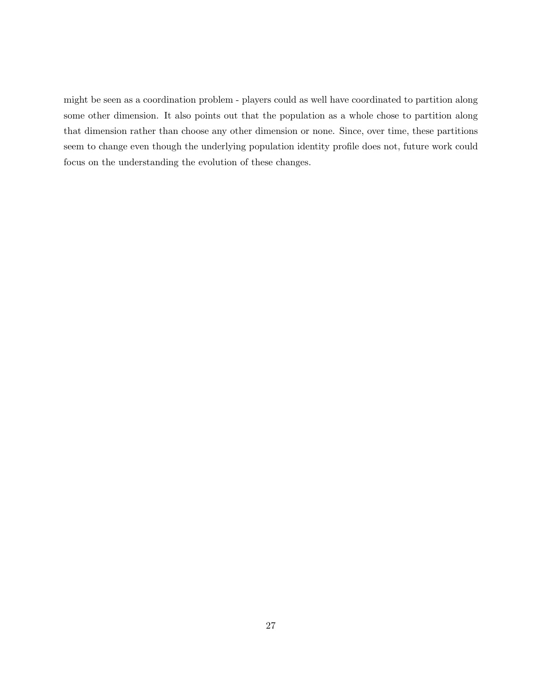might be seen as a coordination problem - players could as well have coordinated to partition along some other dimension. It also points out that the population as a whole chose to partition along that dimension rather than choose any other dimension or none. Since, over time, these partitions seem to change even though the underlying population identity profile does not, future work could focus on the understanding the evolution of these changes.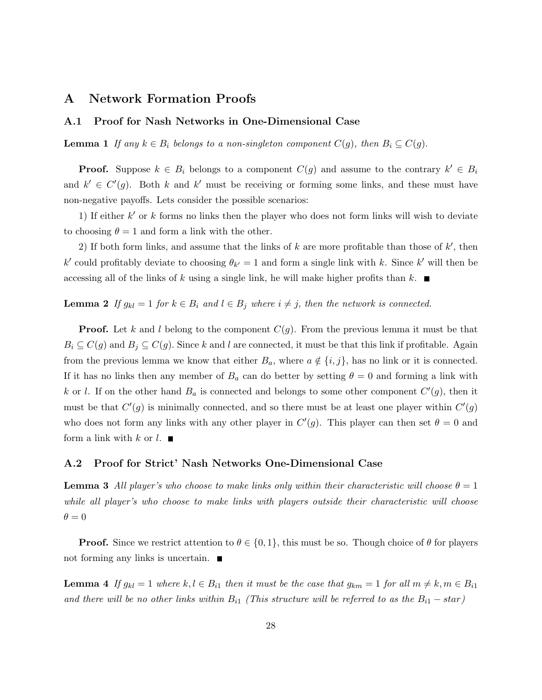### A Network Formation Proofs

#### A.1 Proof for Nash Networks in One-Dimensional Case

**Lemma 1** If any  $k \in B_i$  belongs to a non-singleton component  $C(g)$ , then  $B_i \subseteq C(g)$ .

**Proof.** Suppose  $k \in B_i$  belongs to a component  $C(g)$  and assume to the contrary  $k' \in B_i$ and  $k' \in C'(g)$ . Both k and k' must be receiving or forming some links, and these must have non-negative payoffs. Lets consider the possible scenarios:

1) If either  $k'$  or  $k$  forms no links then the player who does not form links will wish to deviate to choosing  $\theta = 1$  and form a link with the other.

2) If both form links, and assume that the links of  $k$  are more profitable than those of  $k'$ , then k' could profitably deviate to choosing  $\theta_{k'} = 1$  and form a single link with k. Since k' will then be accessing all of the links of k using a single link, he will make higher profits than  $k$ .

#### **Lemma 2** If  $g_{kl} = 1$  for  $k \in B_i$  and  $l \in B_j$  where  $i \neq j$ , then the network is connected.

**Proof.** Let k and l belong to the component  $C(g)$ . From the previous lemma it must be that  $B_i \subseteq C(g)$  and  $B_j \subseteq C(g)$ . Since k and l are connected, it must be that this link if profitable. Again from the previous lemma we know that either  $B_a$ , where  $a \notin \{i, j\}$ , has no link or it is connected. If it has no links then any member of  $B_a$  can do better by setting  $\theta = 0$  and forming a link with k or l. If on the other hand  $B_a$  is connected and belongs to some other component  $C'(g)$ , then it must be that  $C'(g)$  is minimally connected, and so there must be at least one player within  $C'(g)$ who does not form any links with any other player in  $C'(g)$ . This player can then set  $\theta = 0$  and form a link with k or  $l$ .

#### A.2 Proof for Strict' Nash Networks One-Dimensional Case

**Lemma 3** All player's who choose to make links only within their characteristic will choose  $\theta = 1$ while all player's who choose to make links with players outside their characteristic will choose  $\theta = 0$ 

**Proof.** Since we restrict attention to  $\theta \in \{0, 1\}$ , this must be so. Though choice of  $\theta$  for players not forming any links is uncertain.  $\blacksquare$ 

**Lemma 4** If  $g_{kl} = 1$  where  $k, l \in B_{i1}$  then it must be the case that  $g_{km} = 1$  for all  $m \neq k, m \in B_{i1}$ and there will be no other links within  $B_{i1}$  (This structure will be referred to as the  $B_{i1} - star$ )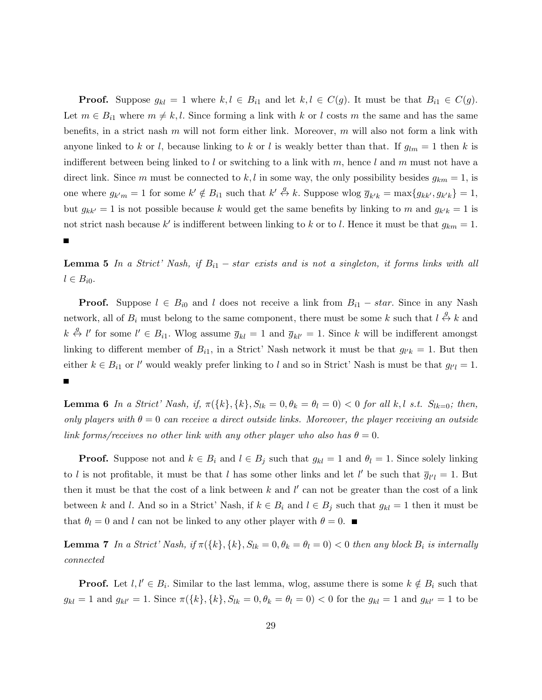**Proof.** Suppose  $g_{kl} = 1$  where  $k, l \in B_{i1}$  and let  $k, l \in C(g)$ . It must be that  $B_{i1} \in C(g)$ . Let  $m \in B_{i1}$  where  $m \neq k, l$ . Since forming a link with k or l costs m the same and has the same benefits, in a strict nash  $m$  will not form either link. Moreover,  $m$  will also not form a link with anyone linked to k or l, because linking to k or l is weakly better than that. If  $g_{lm} = 1$  then k is indifferent between being linked to l or switching to a link with  $m$ , hence l and  $m$  must not have a direct link. Since m must be connected to k, l in some way, the only possibility besides  $g_{km} = 1$ , is one where  $g_{k'm} = 1$  for some  $k' \notin B_{i1}$  such that  $k' \stackrel{g}{\leftrightarrow} k$ . Suppose wlog  $\overline{g}_{k'k} = \max\{g_{kk'}, g_{k'k}\} = 1$ , but  $g_{kk'} = 1$  is not possible because k would get the same benefits by linking to m and  $g_{k'k} = 1$  is not strict nash because k' is indifferent between linking to k or to l. Hence it must be that  $g_{km} = 1$ .

**Lemma 5** In a Strict' Nash, if  $B_{i1}$  – star exists and is not a singleton, it forms links with all  $l \in B_{i0}$ .

 $\blacksquare$ 

**Proof.** Suppose  $l \in B_{i0}$  and l does not receive a link from  $B_{i1} - star$ . Since in any Nash network, all of  $B_i$  must belong to the same component, there must be some k such that  $l \stackrel{g}{\leftrightarrow} k$  and  $k \stackrel{g}{\leftrightarrow} l'$  for some  $l' \in B_{i1}$ . Wlog assume  $\overline{g}_{kl} = 1$  and  $\overline{g}_{kl'} = 1$ . Since k will be indifferent amongst linking to different member of  $B_{i1}$ , in a Strict' Nash network it must be that  $g_{l'k} = 1$ . But then either  $k \in B_{i1}$  or l' would weakly prefer linking to l and so in Strict' Nash is must be that  $g_{l'l} = 1$ . П

**Lemma 6** In a Strict' Nash, if,  $\pi({k}, {k}, {S_{lk}} = 0, {\theta_k} = {\theta_l} = 0) < 0$  for all k, l s.t.  $S_{lk=0}$ ; then, only players with  $\theta = 0$  can receive a direct outside links. Moreover, the player receiving an outside link forms/receives no other link with any other player who also has  $\theta = 0$ .

**Proof.** Suppose not and  $k \in B_i$  and  $l \in B_j$  such that  $g_{kl} = 1$  and  $\theta_l = 1$ . Since solely linking to l is not profitable, it must be that l has some other links and let l' be such that  $\bar{g}_{l'l} = 1$ . But then it must be that the cost of a link between  $k$  and  $l'$  can not be greater than the cost of a link between k and l. And so in a Strict' Nash, if  $k \in B_i$  and  $l \in B_j$  such that  $g_{kl} = 1$  then it must be that  $\theta_l = 0$  and l can not be linked to any other player with  $\theta = 0$ .

**Lemma 7** In a Strict' Nash, if  $\pi({k}, {k}, {S_{lk}} = 0, \theta_k = \theta_l = 0) < 0$  then any block  $B_i$  is internally connected

**Proof.** Let  $l, l' \in B_i$ . Similar to the last lemma, wlog, assume there is some  $k \notin B_i$  such that  $g_{kl} = 1$  and  $g_{kl'} = 1$ . Since  $\pi({k}, {k}, S_{lk} = 0, \theta_k = \theta_l = 0) < 0$  for the  $g_{kl} = 1$  and  $g_{kl'} = 1$  to be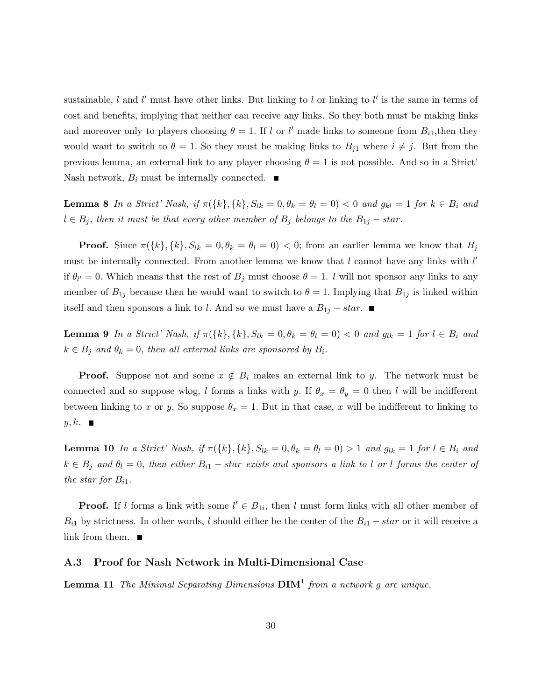sustainable,  $l$  and  $l'$  must have other links. But linking to  $l$  or linking to  $l'$  is the same in terms of cost and benefits, implying that neither can receive any links. So they both must be making links and moreover only to players choosing  $\theta = 1$ . If l or l' made links to someone from  $B_{i1}$ , then they would want to switch to  $\theta = 1$ . So they must be making links to  $B_{j1}$  where  $i \neq j$ . But from the previous lemma, an external link to any player choosing  $\theta = 1$  is not possible. And so in a Strict' Nash network,  $B_i$  must be internally connected.  $\blacksquare$ 

**Lemma 8** In a Strict' Nash, if  $\pi({k}, {k}, S_{lk} = 0, \theta_k = \theta_l = 0) < 0$  and  $g_{kl} = 1$  for  $k \in B_i$  and  $l \in B_j$ , then it must be that every other member of  $B_j$  belongs to the  $B_{1j} - star$ .

**Proof.** Since  $\pi({k}, {k}, S_{lk} = 0, \theta_k = \theta_l = 0) < 0$ ; from an earlier lemma we know that  $B_j$ must be internally connected. From another lemma we know that  $l$  cannot have any links with  $l'$ if  $\theta_{l'} = 0$ . Which means that the rest of  $B_j$  must choose  $\theta = 1$ . *l* will not sponsor any links to any member of  $B_{1j}$  because then he would want to switch to  $\theta = 1$ . Implying that  $B_{1j}$  is linked within itself and then sponsors a link to l. And so we must have a  $B_{1j} - star$ . ■

**Lemma 9** In a Strict' Nash, if  $\pi({k}, {k}, S_{lk} = 0, \theta_k = \theta_l = 0) < 0$  and  $g_{lk} = 1$  for  $l \in B_i$  and  $k \in B_j$  and  $\theta_k = 0$ , then all external links are sponsored by  $B_i$ .

**Proof.** Suppose not and some  $x \notin B_i$  makes an external link to y. The network must be connected and so suppose wlog, l forms a links with y. If  $\theta_x = \theta_y = 0$  then l will be indifferent between linking to x or y. So suppose  $\theta_x = 1$ . But in that case, x will be indifferent to linking to  $y, k$ .

**Lemma 10** In a Strict' Nash, if  $\pi({k}, {k}, S_{lk} = 0, \theta_k = \theta_l = 0) > 1$  and  $g_{lk} = 1$  for  $l \in B_i$  and  $k \in B_j$  and  $\theta_l = 0$ , then either  $B_{i1}$  – star exists and sponsors a link to l or l forms the center of the star for  $B_{i1}$ .

**Proof.** If l forms a link with some  $l' \in B_{1i}$ , then l must form links with all other member of  $B_{i1}$  by strictness. In other words, l should either be the center of the  $B_{i1} - star$  or it will receive a link from them.  $\blacksquare$ 

#### A.3 Proof for Nash Network in Multi-Dimensional Case

**Lemma 11** The Minimal Separating Dimensions  $\text{DIM}^1$  from a network g are unique.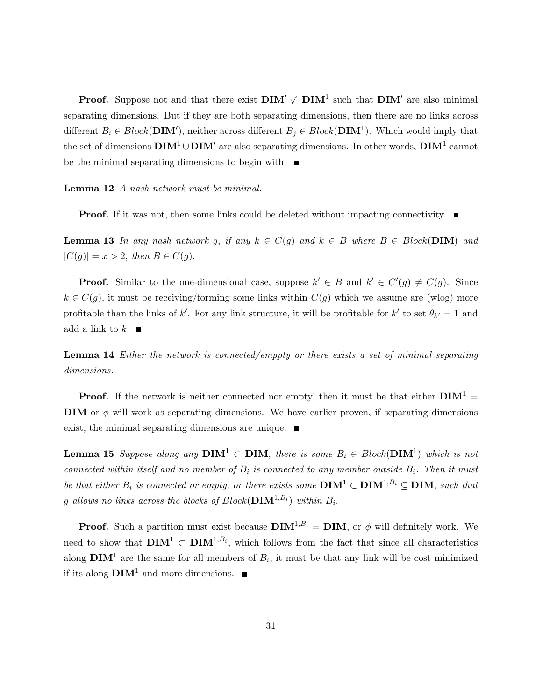**Proof.** Suppose not and that there exist  $\text{DIM}' \not\subset \text{DIM}^1$  such that  $\text{DIM}'$  are also minimal separating dimensions. But if they are both separating dimensions, then there are no links across different  $B_i \in Block(DIM')$ , neither across different  $B_j \in Block(DIM^1)$ . Which would imply that the set of dimensions  $\bf{DIM}^1 \cup \bf{DIM}'$  are also separating dimensions. In other words,  $\bf{DIM}^1$  cannot be the minimal separating dimensions to begin with.  $\blacksquare$ 

Lemma 12 A nash network must be minimal.

**Proof.** If it was not, then some links could be deleted without impacting connectivity.  $\blacksquare$ 

**Lemma 13** In any nash network g, if any  $k \in C(g)$  and  $k \in B$  where  $B \in Block(DIM)$  and  $|C(g)| = x > 2$ , then  $B \in C(g)$ .

**Proof.** Similar to the one-dimensional case, suppose  $k' \in B$  and  $k' \in C'(g) \neq C(g)$ . Since  $k \in C(g)$ , it must be receiving/forming some links within  $C(g)$  which we assume are (wlog) more profitable than the links of k'. For any link structure, it will be profitable for k' to set  $\theta_{k'} = 1$  and add a link to  $k$ .

Lemma 14 Either the network is connected/emppty or there exists a set of minimal separating dimensions.

**Proof.** If the network is neither connected nor empty' then it must be that either  $\text{DIM}^1$  = **DIM** or  $\phi$  will work as separating dimensions. We have earlier proven, if separating dimensions exist, the minimal separating dimensions are unique.  $\blacksquare$ 

**Lemma 15** Suppose along any  $\textbf{DIM}^1 \subset \textbf{DIM}$ , there is some  $B_i \in Block(\textbf{DIM}^1)$  which is not connected within itself and no member of  $B_i$  is connected to any member outside  $B_i$ . Then it must be that either  $B_i$  is connected or empty, or there exists some  $\text{DIM}^1 \subset \text{DIM}^{1,B_i} \subseteq \text{DIM}$ , such that g allows no links across the blocks of  $Block(\mathbf{DIM}^{1,B_i})$  within  $B_i$ .

**Proof.** Such a partition must exist because  $\text{DIM}^{1,B_i} = \text{DIM}$ , or  $\phi$  will definitely work. We need to show that  $\text{DIM}^{1} \subset \text{DIM}^{1,B_i}$ , which follows from the fact that since all characteristics along  $\text{DIM}^1$  are the same for all members of  $B_i$ , it must be that any link will be cost minimized if its along  $\text{DIM}^1$  and more dimensions.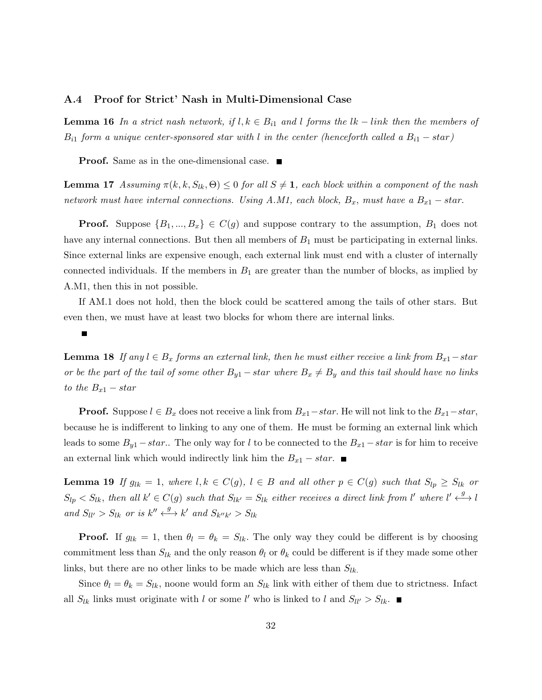#### A.4 Proof for Strict' Nash in Multi-Dimensional Case

**Lemma 16** In a strict nash network, if  $l, k \in B_{i1}$  and I forms the  $lk - link$  then the members of  $B_{i1}$  form a unique center-sponsored star with l in the center (henceforth called a  $B_{i1} - star$ )

**Proof.** Same as in the one-dimensional case. ■

**Lemma 17** Assuming  $\pi(k, k, S_{lk}, \Theta) \leq 0$  for all  $S \neq 1$ , each block within a component of the nash network must have internal connections. Using A.M1, each block,  $B_x$ , must have a  $B_{x1}$  – star.

**Proof.** Suppose  $\{B_1, ..., B_x\} \in C(g)$  and suppose contrary to the assumption,  $B_1$  does not have any internal connections. But then all members of  $B_1$  must be participating in external links. Since external links are expensive enough, each external link must end with a cluster of internally connected individuals. If the members in  $B_1$  are greater than the number of blocks, as implied by A.M1, then this in not possible.

If AM.1 does not hold, then the block could be scattered among the tails of other stars. But even then, we must have at least two blocks for whom there are internal links.

**Lemma 18** If any  $l \in B_x$  forms an external link, then he must either receive a link from  $B_{x1}$  – star or be the part of the tail of some other  $B_{y1}$  – star where  $B_x \neq B_y$  and this tail should have no links to the  $B_{x1} - star$ 

**Proof.** Suppose  $l \in B_x$  does not receive a link from  $B_{x1} - star$ . He will not link to the  $B_{x1} - star$ , because he is indifferent to linking to any one of them. He must be forming an external link which leads to some  $B_{y1} - star$ .. The only way for l to be connected to the  $B_{x1} - star$  is for him to receive an external link which would indirectly link him the  $B_{x1} - star$ . ■

**Lemma 19** If  $g_{lk} = 1$ , where  $l, k \in C(g)$ ,  $l \in B$  and all other  $p \in C(g)$  such that  $S_{lp} \geq S_{lk}$  or  $S_{lp} < S_{lk}$ , then all  $k' \in C(g)$  such that  $S_{lk'} = S_{lk}$  either receives a direct link from l' where  $l' \stackrel{g}{\longleftrightarrow} l$ and  $S_{ll'} > S_{lk}$  or is  $k'' \stackrel{g}{\longleftrightarrow} k'$  and  $S_{k''k'} > S_{lk}$ 

**Proof.** If  $g_{lk} = 1$ , then  $\theta_l = \theta_k = S_{lk}$ . The only way they could be different is by choosing commitment less than  $S_{lk}$  and the only reason  $\theta_l$  or  $\theta_k$  could be different is if they made some other links, but there are no other links to be made which are less than  $S_{lk}$ .

Since  $\theta_l = \theta_k = S_{lk}$ , noone would form an  $S_{lk}$  link with either of them due to strictness. Infact all  $S_{lk}$  links must originate with l or some l' who is linked to l and  $S_{ll'} > S_{lk}$ .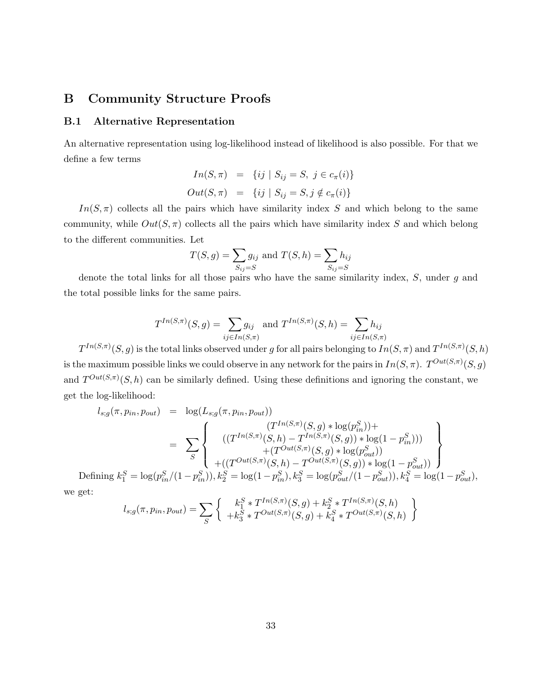## B Community Structure Proofs

#### B.1 Alternative Representation

An alternative representation using log-likelihood instead of likelihood is also possible. For that we define a few terms

$$
In(S, \pi) = \{ij \mid S_{ij} = S, j \in c_{\pi}(i)\}
$$
  

$$
Out(S, \pi) = \{ij \mid S_{ij} = S, j \notin c_{\pi}(i)\}
$$

 $In(S, \pi)$  collects all the pairs which have similarity index S and which belong to the same community, while  $Out(S, \pi)$  collects all the pairs which have similarity index S and which belong to the different communities. Let

$$
T(S, g) = \sum_{S_{ij}=S} g_{ij}
$$
 and  $T(S, h) = \sum_{S_{ij}=S} h_{ij}$ 

denote the total links for all those pairs who have the same similarity index,  $S$ , under  $q$  and the total possible links for the same pairs.

$$
T^{In(S,\pi)}(S,g) = \sum_{ij \in In(S,\pi)} g_{ij}
$$
 and  $T^{In(S,\pi)}(S,h) = \sum_{ij \in In(S,\pi)} h_{ij}$ 

 $T^{In(S,\pi)}(S,g)$  is the total links observed under g for all pairs belonging to  $In(S,\pi)$  and  $T^{In(S,\pi)}(S,h)$ is the maximum possible links we could observe in any network for the pairs in  $In(S, \pi)$ .  $T^{Out(S, \pi)}(S, g)$ and  $T^{Out(S,\pi)}(S,h)$  can be similarly defined. Using these definitions and ignoring the constant, we get the log-likelihood:

$$
l_{s,g}(\pi, p_{in}, p_{out}) = \log(L_{s,g}(\pi, p_{in}, p_{out}))
$$
  
\n
$$
= \sum_{S} \left\{ \begin{array}{c} (T^{In(S,\pi)}(S, g) * \log(p_{in}^{S})) + \\ ((T^{In(S,\pi)}(S, h) - T^{In(S,\pi)}(S, g)) * \log(1 - p_{in}^{S})) \\ + (T^{Out(S,\pi)}(S, h) - T^{Out(S,\pi)}(S, g)) * \log(1 - p_{out}^{S})) \\ + ((T^{Out(S,\pi)}(S, h) - T^{Out(S,\pi)}(S, g)) * \log(1 - p_{out}^{S})) \end{array} \right\}
$$
  
\n
$$
\text{fining } k_{s}^{S} = \log(p_{s}^{S}/(1 - p_{s}^{S})) \cdot k_{s}^{S} = \log(1 - p_{s}^{S}) \cdot k_{s}^{S} = \log(p_{s}^{S}/(1 - p_{out}^{S})) \cdot k_{s}^{S} = \log(1 - p_{out}^{S}) \cdot k_{s}^{S}
$$

Def ıg  $\kappa_{\bar{1}}$  $S_1^S = \log(p_{in}^S/(1-p_{\rm s})$  $_{in}^{S}$  $)), k_2^S$ <sup>2</sup> = log(1 − p  $_{in}^{S}$ ),  $k_3^S$  $S_3^S = \log(p_{out}^S/(1-p_{out}^S))$  $_{out}^{S}$ )),  $k_4^S$  $_{4}^{S} = \log(1-p_{out}^{S}),$ we get:  $\mathcal{L}$ 

$$
l_{s,g}(\pi, p_{in}, p_{out}) = \sum_{S} \left\{ \begin{array}{c} k_1^S * T^{In(S,\pi)}(S,g) + k_2^S * T^{In(S,\pi)}(S,h) \\ + k_3^S * T^{Out(S,\pi)}(S,g) + k_4^S * T^{Out(S,\pi)}(S,h) \end{array} \right.
$$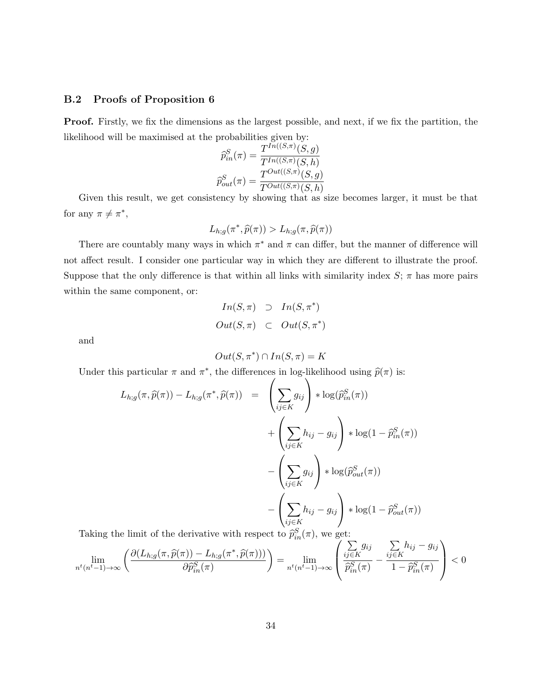#### B.2 Proofs of Proposition 6

Proof. Firstly, we fix the dimensions as the largest possible, and next, if we fix the partition, the likelihood will be maximised at the probabilities given by:

$$
\widehat{p}_{in}^{S}(\pi) = \frac{T^{In((S,\pi)}(S,g)}{T^{In((S,\pi)}(S,h)}
$$

$$
\widehat{p}_{out}^{S}(\pi) = \frac{T^{Out((S,\pi)}(S,g)}{T^{Out((S,\pi)}(S,h)}
$$

Given this result, we get consistency by showing that as size becomes larger, it must be that for any  $\pi \neq \pi^*$ ,

$$
L_{h,g}(\pi^*,\widehat{p}(\pi)) > L_{h,g}(\pi,\widehat{p}(\pi))
$$

There are countably many ways in which  $\pi^*$  and  $\pi$  can differ, but the manner of difference will not affect result. I consider one particular way in which they are different to illustrate the proof. Suppose that the only difference is that within all links with similarity index  $S$ ;  $\pi$  has more pairs within the same component, or:

$$
In(S, \pi) \supset In(S, \pi^*)
$$
  
Out(S, \pi) \subset Out(S, \pi^\*)

and

$$
Out(S, \pi^*) \cap In(S, \pi) = K
$$

Under this particular  $\pi$  and  $\pi^*$ , the differences in log-likelihood using  $\widehat{p}(\pi)$  is:

$$
L_{h,g}(\pi,\widehat{p}(\pi)) - L_{h,g}(\pi^*,\widehat{p}(\pi)) = \left(\sum_{ij\in K} g_{ij}\right) * \log(\widehat{p}_{in}^S(\pi))
$$
  
+ 
$$
\left(\sum_{ij\in K} h_{ij} - g_{ij}\right) * \log(1 - \widehat{p}_{in}^S(\pi))
$$
  
- 
$$
\left(\sum_{ij\in K} g_{ij}\right) * \log(\widehat{p}_{out}^S(\pi))
$$
  
- 
$$
\left(\sum_{ij\in K} h_{ij} - g_{ij}\right) * \log(1 - \widehat{p}_{out}^S(\pi))
$$

Taking the limit of the derivative with respect to  $\hat{p}_{in}^S(\pi)$ , we get:

$$
\lim_{n^t (n^t - 1) \to \infty} \left( \frac{\partial (L_{h;g}(\pi, \widehat{p}(\pi)) - L_{h;g}(\pi^*, \widehat{p}(\pi)))}{\partial \widehat{p}_{in}^S(\pi)} \right) = \lim_{n^t (n^t - 1) \to \infty} \left( \frac{\sum_{ij \in K} g_{ij}}{\widehat{p}_{in}^S(\pi)} - \frac{\sum_{ij \in K} h_{ij} - g_{ij}}{1 - \widehat{p}_{in}^S(\pi)} \right) < 0
$$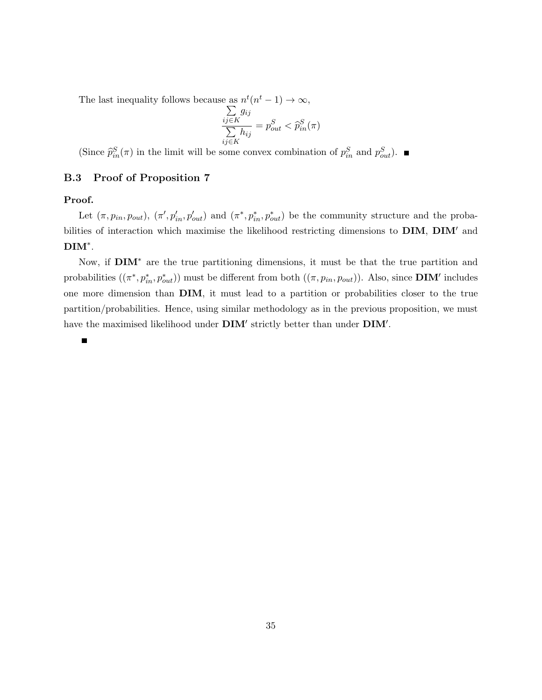The last inequality follows because as  $n^t(n)$  $t-1) \rightarrow \infty,$ 

$$
\frac{\sum_{ij \in K} g_{ij}}{\sum_{ij \in K} h_{ij}} = p_{out}^S < \widehat{p}_{in}^S(\pi)
$$

(Since  $\hat{p}_{in}^S(\pi)$  in the limit will be some convex combination of  $p_{in}^S$  and  $p_{out}^S$ ).

#### B.3 Proof of Proposition 7

#### Proof.

Let  $(\pi, p_{in}, p_{out})$ ,  $(\pi', p'_{in}, p'_{out})$  and  $(\pi^*, p^*_{in}, p^*_{out})$  be the community structure and the probabilities of interaction which maximise the likelihood restricting dimensions to DIM, DIM′ and DIM<sup>∗</sup> .

Now, if DIM<sup>\*</sup> are the true partitioning dimensions, it must be that the true partition and probabilities  $((\pi^*, p_{in}^*, p_{out}^*))$  must be different from both  $((\pi, p_{in}, p_{out}))$ . Also, since **DIM'** includes one more dimension than DIM, it must lead to a partition or probabilities closer to the true partition/probabilities. Hence, using similar methodology as in the previous proposition, we must have the maximised likelihood under  $\text{DIM}'$  strictly better than under  $\text{DIM}'$ .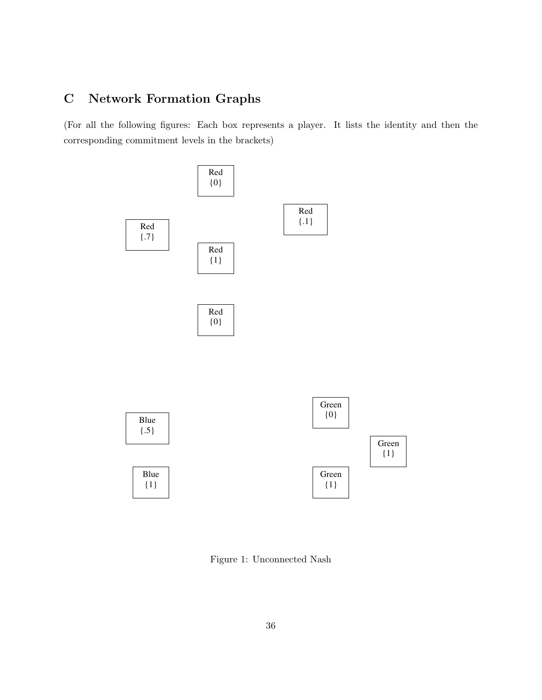## C Network Formation Graphs

(For all the following figures: Each box represents a player. It lists the identity and then the corresponding commitment levels in the brackets)



Figure 1: Unconnected Nash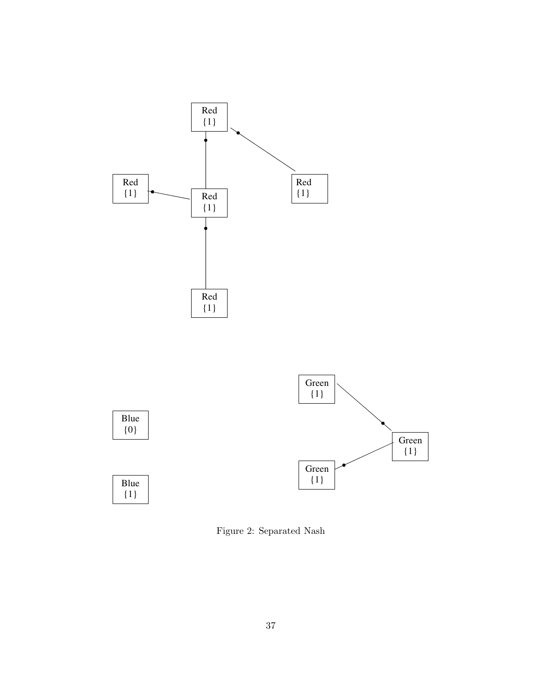



Figure 2: Separated Nash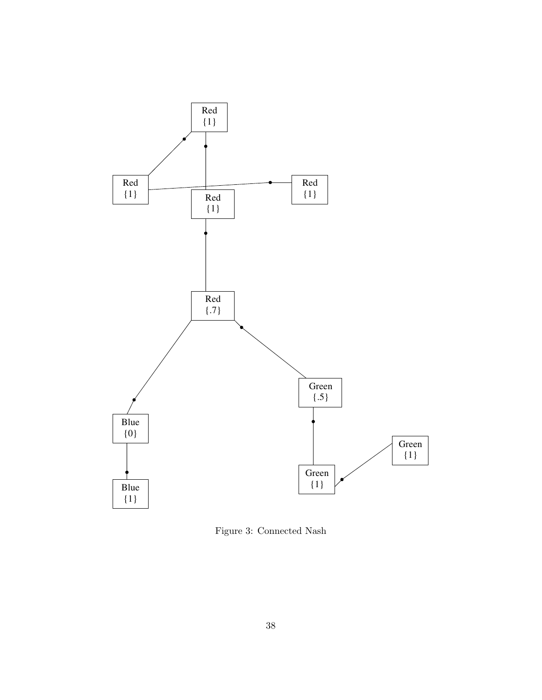

Figure 3: Connected Nash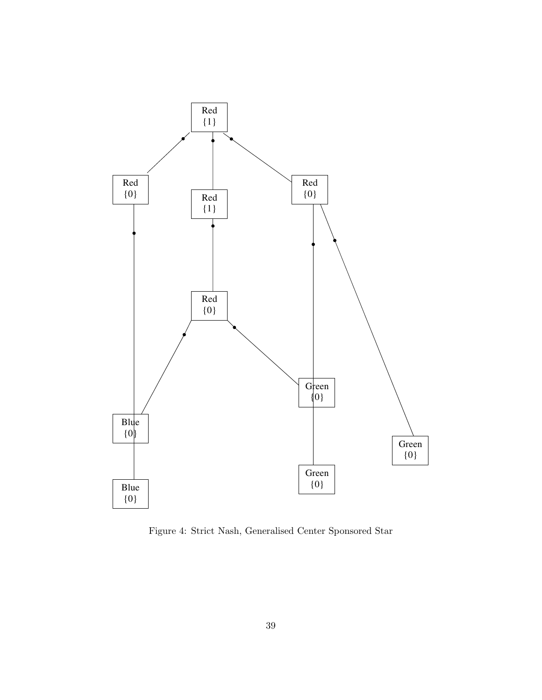

Figure 4: Strict Nash, Generalised Center Sponsored Star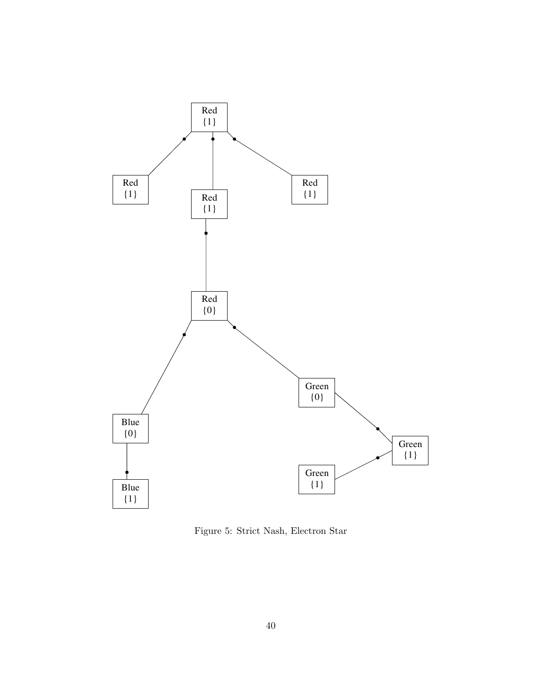

Figure 5: Strict Nash, Electron Star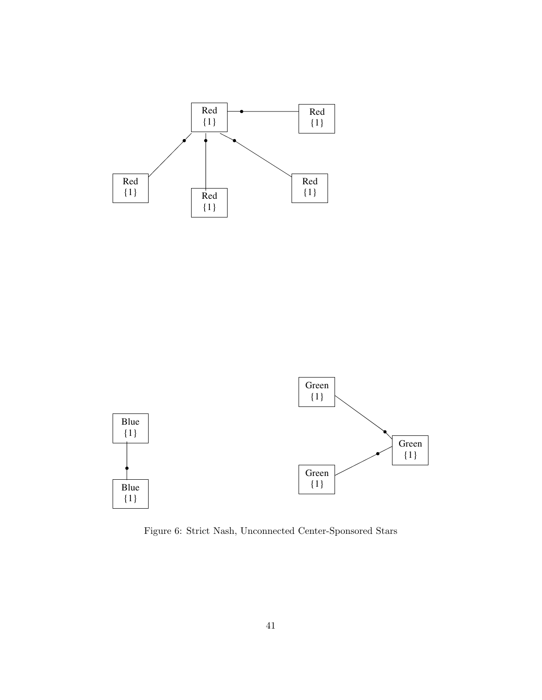



Figure 6: Strict Nash, Unconnected Center-Sponsored Stars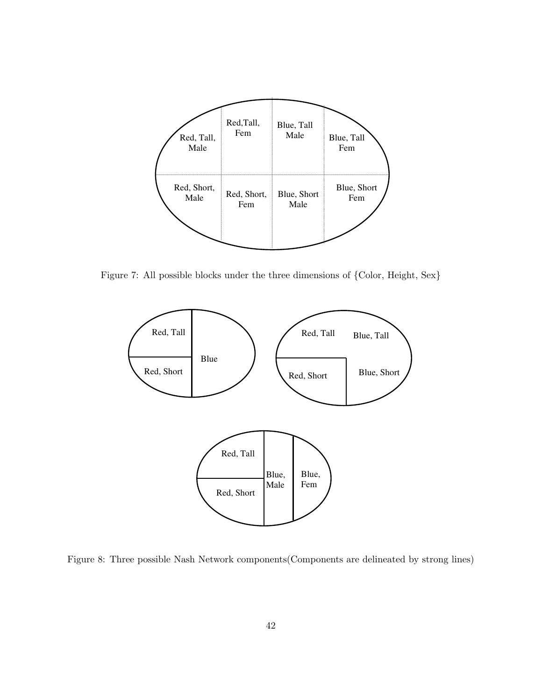

Figure 7: All possible blocks under the three dimensions of {Color, Height, Sex}



Figure 8: Three possible Nash Network components(Components are delineated by strong lines)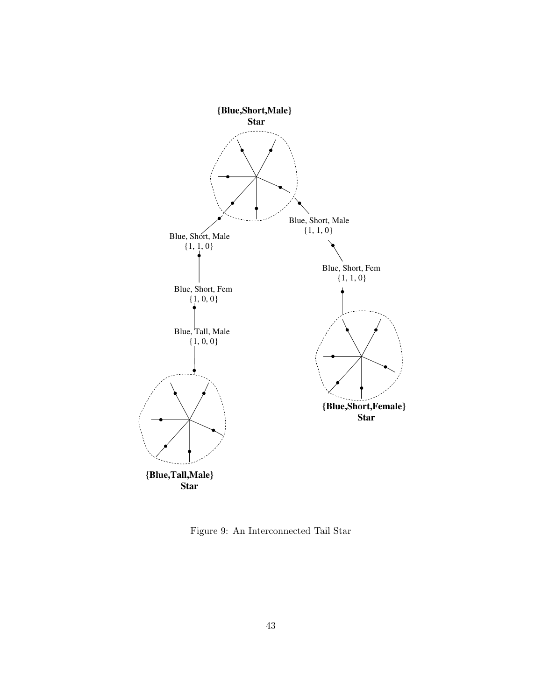

Figure 9: An Interconnected Tail Star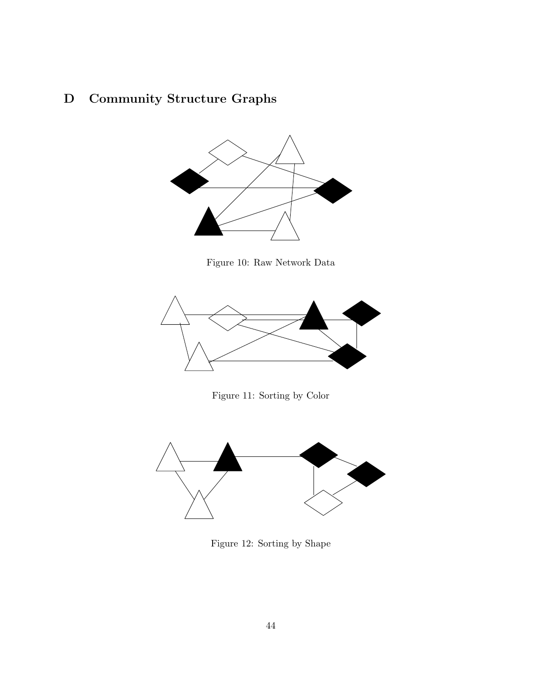## D Community Structure Graphs



Figure 10: Raw Network Data



Figure 11: Sorting by Color



Figure 12: Sorting by Shape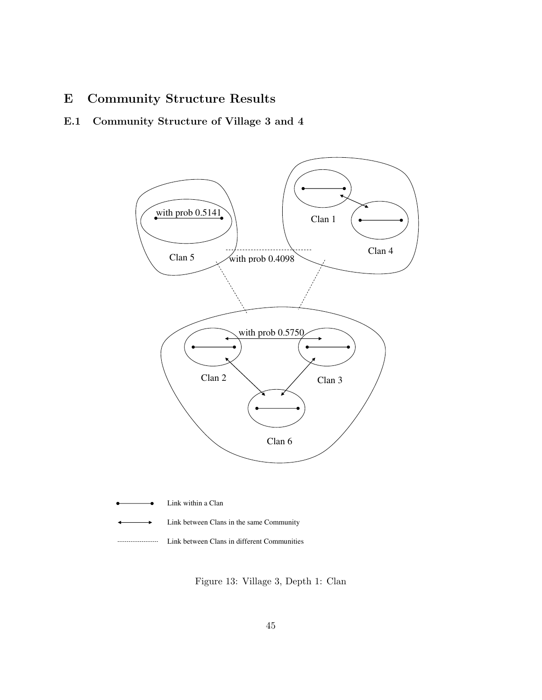## E Community Structure Results

## E.1 Community Structure of Village 3 and 4



| • Link within a Clan                            |
|-------------------------------------------------|
| ← Link between Clans in the same Community      |
| <br>Link between Clans in different Communities |

Figure 13: Village 3, Depth 1: Clan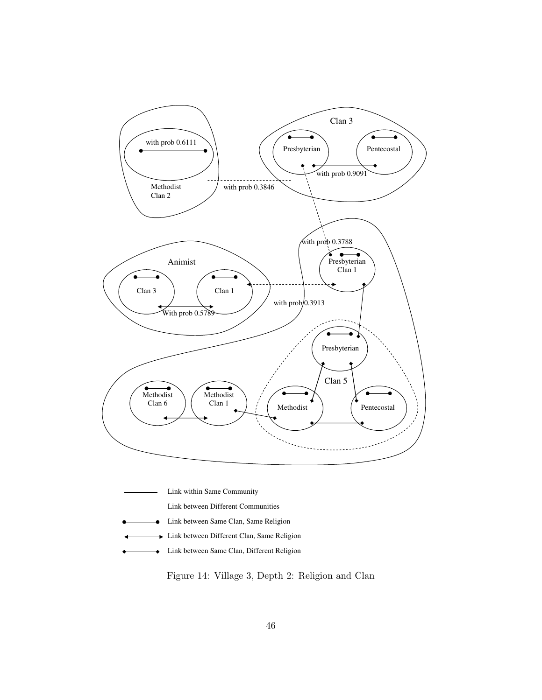

- Link within Same Community
- Link between Different Communities  $- - - - - - -$
- Link between Same Clan, Same Religion ó
- **Link between Different Clan, Same Religion**
- Link between Same Clan, Different Religion  $\rightarrow$

Figure 14: Village 3, Depth 2: Religion and Clan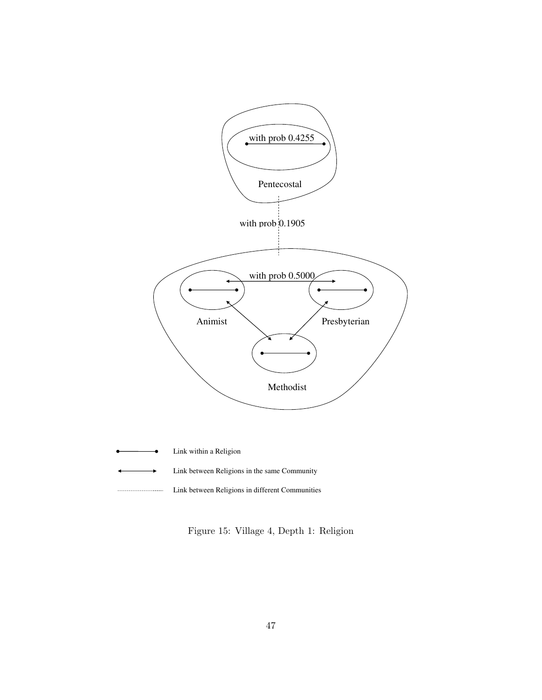

Link between Religions in different Communities

Figure 15: Village 4, Depth 1: Religion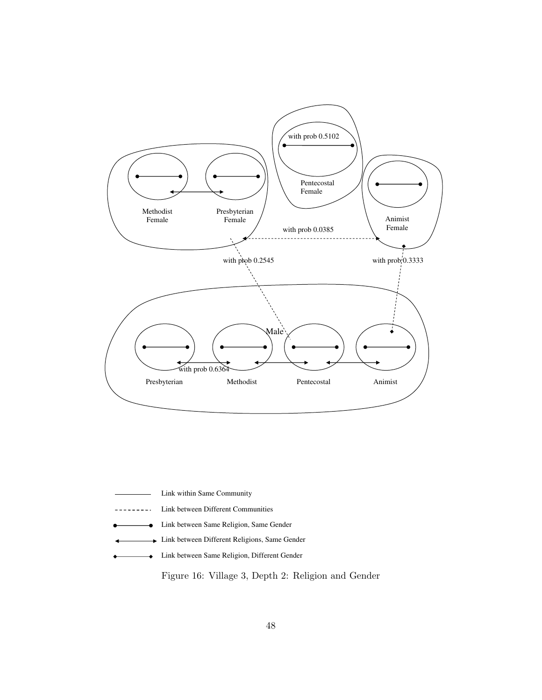

- Link within Same Community
- <u> 22222222</u> Link between Different Communities
- Link between Same Religion, Same Gender
- Link between Different Religions, Same Gender  $\ddot{\phantom{1}}$
- Link between Same Religion, Different Gender  $\bullet$

Figure 16: Village 3, Depth 2: Religion and Gender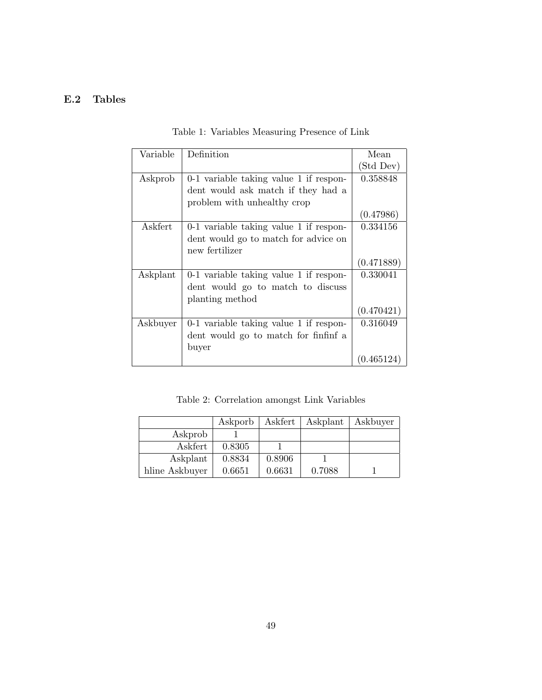## E.2 Tables

| Variable | Definition                             | Mean       |
|----------|----------------------------------------|------------|
|          |                                        | (Std Dev)  |
| Askprob  | 0-1 variable taking value 1 if respon- | 0.358848   |
|          | dent would ask match if they had a     |            |
|          | problem with unhealthy crop            |            |
|          |                                        | (0.47986)  |
| Askfert  | 0-1 variable taking value 1 if respon- | 0.334156   |
|          | dent would go to match for advice on   |            |
|          | new fertilizer                         |            |
|          |                                        | (0.471889) |
| Askplant | 0-1 variable taking value 1 if respon- | 0.330041   |
|          | dent would go to match to discuss      |            |
|          | planting method                        |            |
|          |                                        | (0.470421) |
| Askbuyer | 0-1 variable taking value 1 if respon- | 0.316049   |
|          | dent would go to match for finfinf a   |            |
|          | buyer                                  |            |
|          |                                        | 0.465124   |

Table 1: Variables Measuring Presence of Link

Table 2: Correlation amongst Link Variables

|                | Askporb | Askfert | Askplant | Askbuyer |
|----------------|---------|---------|----------|----------|
| Askprob        |         |         |          |          |
| Askfert        | 0.8305  |         |          |          |
| Askplant       | 0.8834  | 0.8906  |          |          |
| hline Askbuyer | 0.6651  | 0.6631  | 0.7088   |          |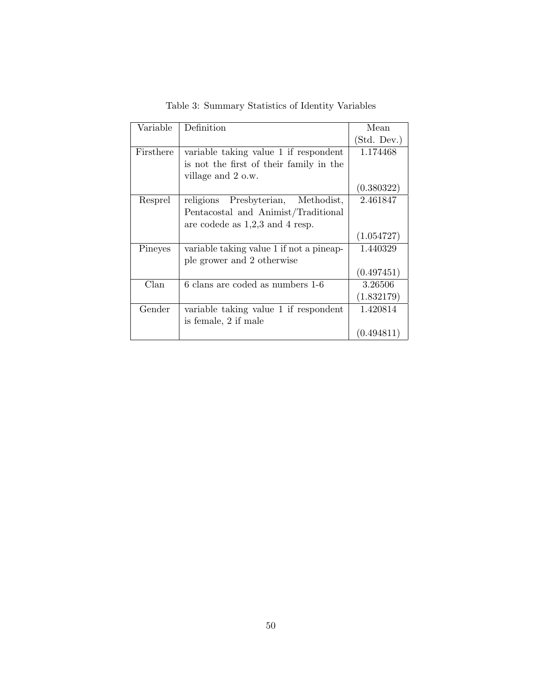| Variable  | Definition                               | Mean        |
|-----------|------------------------------------------|-------------|
|           |                                          | (Std. Dev.) |
| Firsthere | variable taking value 1 if respondent    | 1.174468    |
|           | is not the first of their family in the  |             |
|           | village and 2 o.w.                       |             |
|           |                                          | (0.380322)  |
| Resprel   | Presbyterian, Methodist,<br>religions    | 2.461847    |
|           | Pentacostal and Animist/Traditional      |             |
|           | are codede as $1,2,3$ and 4 resp.        |             |
|           |                                          |             |
|           |                                          | (1.054727)  |
| Pineyes   | variable taking value 1 if not a pineap- | 1.440329    |
|           | ple grower and 2 otherwise               |             |
|           |                                          | (0.497451)  |
| Clan      | 6 clans are coded as numbers 1-6         | 3.26506     |
|           |                                          | (1.832179)  |
| Gender    | variable taking value 1 if respondent    | 1.420814    |
|           | is female, 2 if male                     |             |

Table 3: Summary Statistics of Identity Variables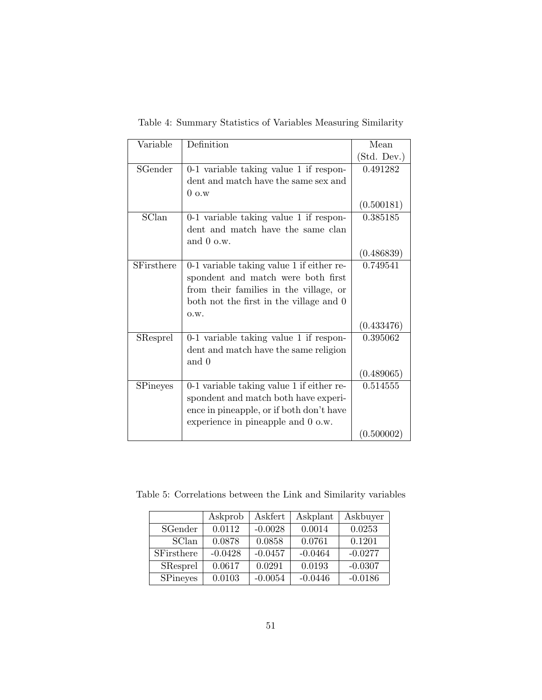| Variable          | Definition                                | Mean        |
|-------------------|-------------------------------------------|-------------|
|                   |                                           | (Std. Dev.) |
| SGender           | 0-1 variable taking value 1 if respon-    | 0.491282    |
|                   | dent and match have the same sex and      |             |
|                   | $0 \text{ o.w}$                           |             |
|                   |                                           | (0.500181)  |
| SClan             | 0-1 variable taking value 1 if respon-    | 0.385185    |
|                   | dent and match have the same clan         |             |
|                   | and $0$ o.w.                              |             |
|                   |                                           | (0.486839)  |
| <b>SFirsthere</b> | 0-1 variable taking value 1 if either re- | 0.749541    |
|                   | spondent and match were both first        |             |
|                   | from their families in the village, or    |             |
|                   | both not the first in the village and 0   |             |
|                   | O.W.                                      |             |
|                   |                                           | (0.433476)  |
| SResprel          | 0-1 variable taking value 1 if respon-    | 0.395062    |
|                   | dent and match have the same religion     |             |
|                   | and 0                                     |             |
|                   |                                           | (0.489065)  |
| <b>SPineyes</b>   | 0-1 variable taking value 1 if either re- | 0.514555    |
|                   | spondent and match both have experi-      |             |
|                   | ence in pineapple, or if both don't have  |             |
|                   | experience in pineapple and 0 o.w.        |             |
|                   |                                           | (0.500002)  |

Table 4: Summary Statistics of Variables Measuring Similarity

Table 5: Correlations between the Link and Similarity variables

|                 | Askprob   | Askfert   | Askplant  | Askbuyer  |
|-----------------|-----------|-----------|-----------|-----------|
| SGender         | 0.0112    | $-0.0028$ | 0.0014    | 0.0253    |
| SClan           | 0.0878    | 0.0858    | 0.0761    | 0.1201    |
| SFirsthere      | $-0.0428$ | $-0.0457$ | $-0.0464$ | $-0.0277$ |
| <b>SResprel</b> | 0.0617    | 0.0291    | 0.0193    | $-0.0307$ |
| <b>SPineyes</b> | 0.0103    | $-0.0054$ | $-0.0446$ | $-0.0186$ |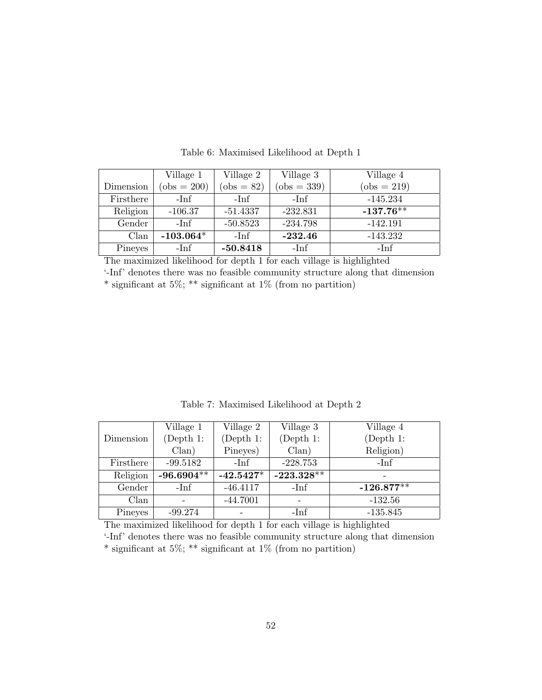|           | Village 1     | Village 2    | Village 3     | Village 4     |
|-----------|---------------|--------------|---------------|---------------|
| Dimension | $(obs = 200)$ | $(obs = 82)$ | $(obs = 339)$ | $(obs = 219)$ |
| Firsthere | $-Inf$        | -Inf         | $-Inf$        | $-145.234$    |
| Religion  | $-106.37$     | $-51.4337$   | $-232.831$    | $-137.76*$    |
| Gender    | $-Inf$        | $-50.8523$   | $-234.798$    | $-142.191$    |
| Clan      | $-103.064*$   | $-Inf$       | $-232.46$     | $-143.232$    |
| Pineyes   | $-Inf$        | $-50.8418$   | $-Inf$        | $-Imf$        |

Table 6: Maximised Likelihood at Depth 1

The maximized likelihood for depth 1 for each village is highlighted

'-Inf' denotes there was no feasible community structure along that dimension \* significant at 5%; \*\* significant at 1% (from no partition)

Table 7: Maximised Likelihood at Depth 2

|           | Village 1    | Village 2   | Village 3    | Village 4    |
|-----------|--------------|-------------|--------------|--------------|
| Dimension | (Depth 1:    | (Depth 1:   | (Depth 1:    | (Depth 1:    |
|           | Clan)        | Pineyes)    | Clan)        | Religion)    |
| Firsthere | $-99.5182$   | $-Inf$      | $-228.753$   | -Inf         |
| Religion  | $-96.6904**$ | $-42.5427*$ | $-223.328**$ |              |
|           |              |             |              |              |
| Gender    | $-Inf$       | $-46.4117$  | $-Inf$       | $-126.877**$ |
| Clan      |              | $-44.7001$  |              | $-132.56$    |

The maximized likelihood for depth 1 for each village is highlighted

'-Inf' denotes there was no feasible community structure along that dimension  $*$  significant at 5%;  $**$  significant at 1% (from no partition)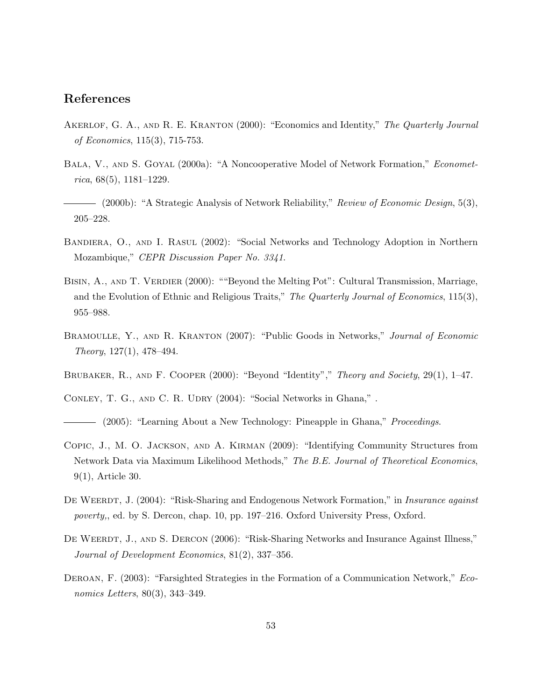## References

- AKERLOF, G. A., AND R. E. KRANTON (2000): "Economics and Identity," The Quarterly Journal of Economics, 115(3), 715-753.
- BALA, V., AND S. GOYAL (2000a): "A Noncooperative Model of Network Formation," *Economet* $rica, 68(5), 1181–1229.$
- (2000b): "A Strategic Analysis of Network Reliability," Review of Economic Design, 5(3), 205–228.
- Bandiera, O., and I. Rasul (2002): "Social Networks and Technology Adoption in Northern Mozambique," CEPR Discussion Paper No. 3341.
- BISIN, A., AND T. VERDIER (2000): ""Beyond the Melting Pot": Cultural Transmission, Marriage, and the Evolution of Ethnic and Religious Traits," The Quarterly Journal of Economics, 115(3), 955–988.
- BRAMOULLE, Y., AND R. KRANTON (2007): "Public Goods in Networks," Journal of Economic  $Theory, 127(1), 478-494.$
- BRUBAKER, R., AND F. COOPER (2000): "Beyond "Identity"," Theory and Society, 29(1), 1–47.
- CONLEY, T. G., AND C. R. UDRY (2004): "Social Networks in Ghana,".
- (2005): "Learning About a New Technology: Pineapple in Ghana," Proceedings.
- Copic, J., M. O. Jackson, and A. Kirman (2009): "Identifying Community Structures from Network Data via Maximum Likelihood Methods," The B.E. Journal of Theoretical Economics, 9(1), Article 30.
- DE WEERDT, J. (2004): "Risk-Sharing and Endogenous Network Formation," in *Insurance against* poverty,, ed. by S. Dercon, chap. 10, pp. 197–216. Oxford University Press, Oxford.
- DE WEERDT, J., AND S. DERCON (2006): "Risk-Sharing Networks and Insurance Against Illness," Journal of Development Economics, 81(2), 337–356.
- DEROAN, F. (2003): "Farsighted Strategies in the Formation of a Communication Network," *Eco*nomics Letters, 80(3), 343–349.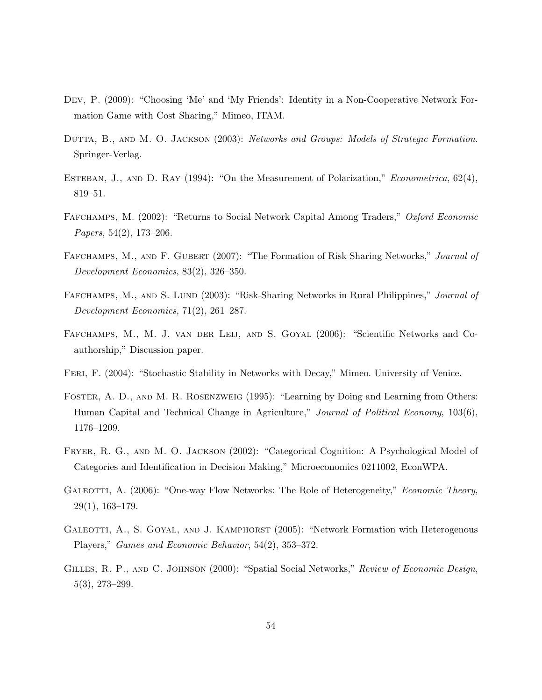- Dev, P. (2009): "Choosing 'Me' and 'My Friends': Identity in a Non-Cooperative Network Formation Game with Cost Sharing," Mimeo, ITAM.
- DUTTA, B., AND M. O. JACKSON (2003): Networks and Groups: Models of Strategic Formation. Springer-Verlag.
- ESTEBAN, J., AND D. RAY  $(1994)$ : "On the Measurement of Polarization," *Econometrica*,  $62(4)$ , 819–51.
- Fafchamps, M. (2002): "Returns to Social Network Capital Among Traders," Oxford Economic Papers, 54(2), 173–206.
- FAFCHAMPS, M., AND F. GUBERT (2007): "The Formation of Risk Sharing Networks," *Journal of* Development Economics, 83(2), 326–350.
- FAFCHAMPS, M., AND S. LUND (2003): "Risk-Sharing Networks in Rural Philippines," *Journal of* Development Economics, 71(2), 261–287.
- Fafchamps, M., M. J. van der Leij, and S. Goyal (2006): "Scientific Networks and Coauthorship," Discussion paper.
- FERI, F. (2004): "Stochastic Stability in Networks with Decay," Mimeo. University of Venice.
- Foster, A. D., and M. R. Rosenzweig (1995): "Learning by Doing and Learning from Others: Human Capital and Technical Change in Agriculture," Journal of Political Economy, 103(6), 1176–1209.
- Fryer, R. G., and M. O. Jackson (2002): "Categorical Cognition: A Psychological Model of Categories and Identification in Decision Making," Microeconomics 0211002, EconWPA.
- GALEOTTI, A. (2006): "One-way Flow Networks: The Role of Heterogeneity," *Economic Theory*, 29(1), 163–179.
- GALEOTTI, A., S. GOYAL, AND J. KAMPHORST (2005): "Network Formation with Heterogenous Players," Games and Economic Behavior, 54(2), 353–372.
- GILLES, R. P., AND C. JOHNSON (2000): "Spatial Social Networks," Review of Economic Design, 5(3), 273–299.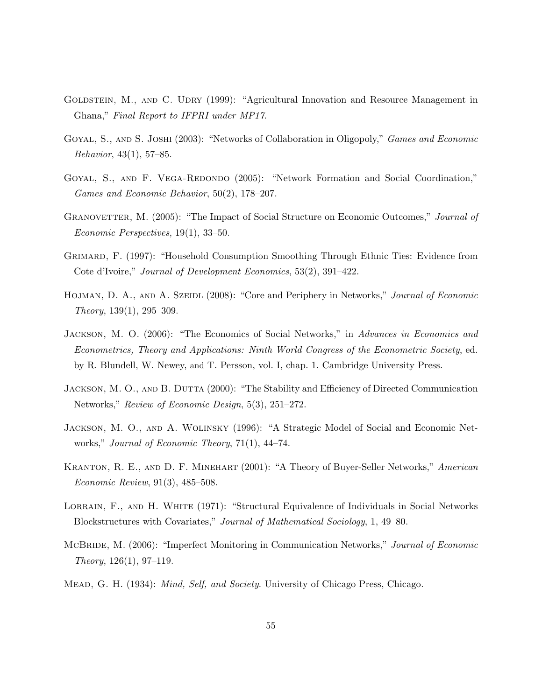- GOLDSTEIN, M., AND C. UDRY (1999): "Agricultural Innovation and Resource Management in Ghana," Final Report to IFPRI under MP17.
- GOYAL, S., AND S. JOSHI (2003): "Networks of Collaboration in Oligopoly," *Games and Economic* Behavior, 43(1), 57–85.
- GOYAL, S., AND F. VEGA-REDONDO (2005): "Network Formation and Social Coordination," Games and Economic Behavior, 50(2), 178–207.
- GRANOVETTER, M. (2005): "The Impact of Social Structure on Economic Outcomes," *Journal of* Economic Perspectives, 19(1), 33–50.
- Grimard, F. (1997): "Household Consumption Smoothing Through Ethnic Ties: Evidence from Cote d'Ivoire," Journal of Development Economics, 53(2), 391–422.
- HOJMAN, D. A., AND A. SZEIDL (2008): "Core and Periphery in Networks," Journal of Economic Theory, 139(1), 295–309.
- JACKSON, M. O. (2006): "The Economics of Social Networks," in Advances in Economics and Econometrics, Theory and Applications: Ninth World Congress of the Econometric Society, ed. by R. Blundell, W. Newey, and T. Persson, vol. I, chap. 1. Cambridge University Press.
- JACKSON, M. O., AND B. DUTTA (2000): "The Stability and Efficiency of Directed Communication Networks," Review of Economic Design, 5(3), 251–272.
- Jackson, M. O., and A. Wolinsky (1996): "A Strategic Model of Social and Economic Networks," Journal of Economic Theory, 71(1), 44–74.
- Kranton, R. E., and D. F. Minehart (2001): "A Theory of Buyer-Seller Networks," American Economic Review, 91(3), 485–508.
- LORRAIN, F., AND H. WHITE (1971): "Structural Equivalence of Individuals in Social Networks Blockstructures with Covariates," Journal of Mathematical Sociology, 1, 49–80.
- McBRIDE, M. (2006): "Imperfect Monitoring in Communication Networks," Journal of Economic  $Theory, 126(1), 97-119.$
- Mead, G. H. (1934): Mind, Self, and Society. University of Chicago Press, Chicago.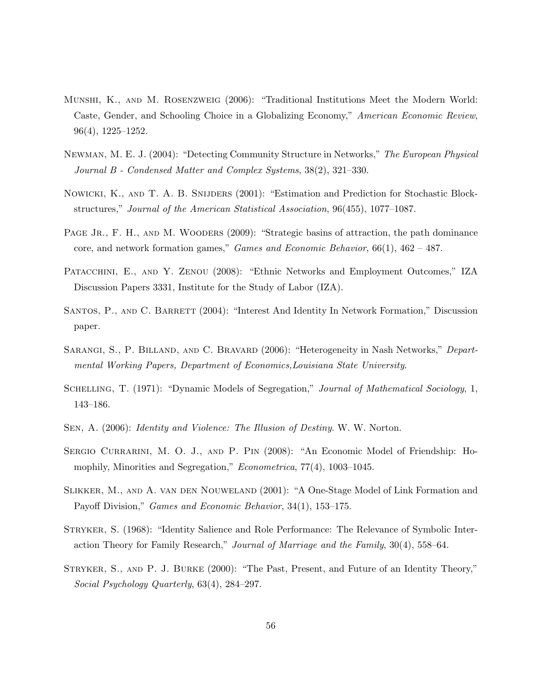- Munshi, K., and M. Rosenzweig (2006): "Traditional Institutions Meet the Modern World: Caste, Gender, and Schooling Choice in a Globalizing Economy," American Economic Review, 96(4), 1225–1252.
- Newman, M. E. J. (2004): "Detecting Community Structure in Networks," The European Physical Journal B - Condensed Matter and Complex Systems, 38(2), 321–330.
- Nowicki, K., and T. A. B. Snijders (2001): "Estimation and Prediction for Stochastic Blockstructures," Journal of the American Statistical Association, 96(455), 1077–1087.
- PAGE JR., F. H., AND M. WOODERS (2009): "Strategic basins of attraction, the path dominance core, and network formation games," *Games and Economic Behavior*,  $66(1)$ ,  $462 - 487$ .
- PATACCHINI, E., AND Y. ZENOU (2008): "Ethnic Networks and Employment Outcomes," IZA Discussion Papers 3331, Institute for the Study of Labor (IZA).
- SANTOS, P., AND C. BARRETT (2004): "Interest And Identity In Network Formation," Discussion paper.
- SARANGI, S., P. BILLAND, AND C. BRAVARD (2006): "Heterogeneity in Nash Networks," Departmental Working Papers, Department of Economics,Louisiana State University.
- SCHELLING, T. (1971): "Dynamic Models of Segregation," Journal of Mathematical Sociology, 1, 143–186.
- Sen, A. (2006): Identity and Violence: The Illusion of Destiny. W. W. Norton.
- SERGIO CURRARINI, M. O. J., AND P. PIN (2008): "An Economic Model of Friendship: Homophily, Minorities and Segregation," *Econometrica*, 77(4), 1003-1045.
- Slikker, M., and A. van den Nouweland (2001): "A One-Stage Model of Link Formation and Payoff Division," Games and Economic Behavior, 34(1), 153–175.
- Stryker, S. (1968): "Identity Salience and Role Performance: The Relevance of Symbolic Interaction Theory for Family Research," Journal of Marriage and the Family, 30(4), 558–64.
- STRYKER, S., AND P. J. BURKE (2000): "The Past, Present, and Future of an Identity Theory," Social Psychology Quarterly, 63(4), 284–297.